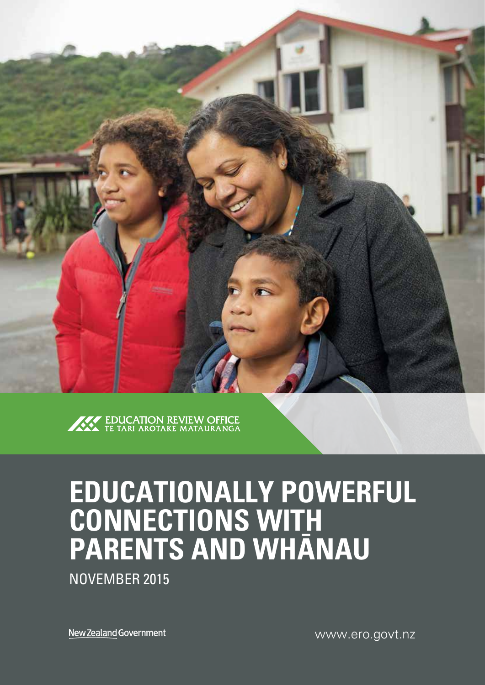



# **EDUCATIONALLY POWERFUL CONNECTIONS WITH PARENTS AND WHÄNAU**

NOVEMBER 2015

New Zealand Government

www.ero.govt.nz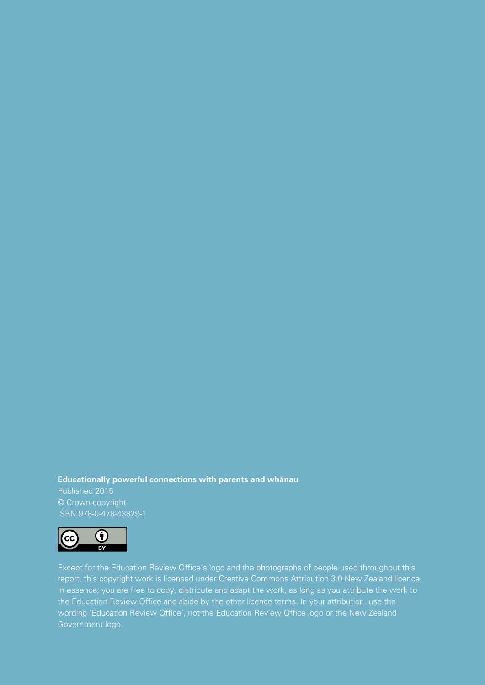#### **Educationally powerful connections with parents and whänau**

Published 2015 © Crown copyright ISBN 978-0-478-43829-1



Except for the Education Review Office's logo and the photographs of people used throughout this report, this copyright work is licensed under Creative Commons Attribution 3.0 New Zealand licence. In essence, you are free to copy, distribute and adapt the work, as long as you attribute the work to the Education Review Office and abide by the other licence terms. In your attribution, use the wording 'Education Review Office', not the Education Review Office logo or the New Zealand Government logo.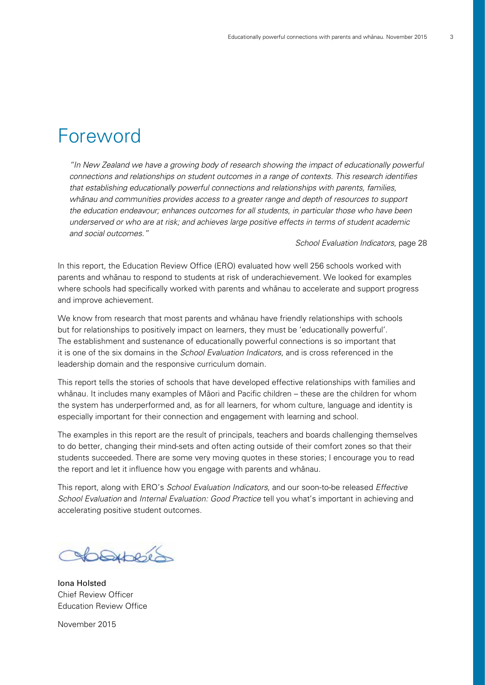## Foreword

"In New Zealand we have a growing body of research showing the impact of educationally powerful connections and relationships on student outcomes in a range of contexts. This research identifies that establishing educationally powerful connections and relationships with parents, families, whänau and communities provides access to a greater range and depth of resources to support the education endeavour; enhances outcomes for all students, in particular those who have been underserved or who are at risk; and achieves large positive effects in terms of student academic and social outcomes."

School Evaluation Indicators, page 28

In this report, the Education Review Office (ERO) evaluated how well 256 schools worked with parents and whänau to respond to students at risk of underachievement. We looked for examples where schools had specifically worked with parents and whänau to accelerate and support progress and improve achievement.

We know from research that most parents and whänau have friendly relationships with schools but for relationships to positively impact on learners, they must be 'educationally powerful'. The establishment and sustenance of educationally powerful connections is so important that it is one of the six domains in the *School Evaluation Indicators*, and is cross referenced in the leadership domain and the responsive curriculum domain.

This report tells the stories of schools that have developed effective relationships with families and whänau. It includes many examples of Mäori and Pacific children – these are the children for whom the system has underperformed and, as for all learners, for whom culture, language and identity is especially important for their connection and engagement with learning and school.

The examples in this report are the result of principals, teachers and boards challenging themselves to do better, changing their mind-sets and often acting outside of their comfort zones so that their students succeeded. There are some very moving quotes in these stories; I encourage you to read the report and let it influence how you engage with parents and whänau.

This report, along with ERO's School Evaluation Indicators, and our soon-to-be released Effective School Evaluation and Internal Evaluation: Good Practice tell you what's important in achieving and accelerating positive student outcomes.

Combert

Iona Holsted Chief Review Officer Education Review Office

November 2015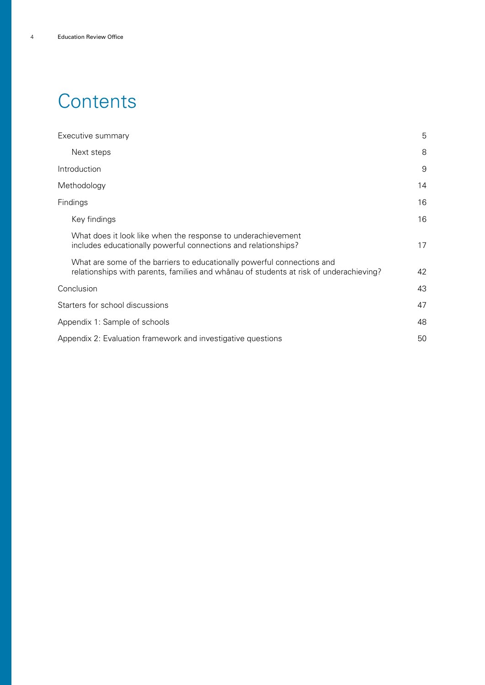## **Contents**

| Executive summary                                                                                                                                                 | 5  |
|-------------------------------------------------------------------------------------------------------------------------------------------------------------------|----|
| Next steps                                                                                                                                                        | 8  |
| Introduction                                                                                                                                                      | 9  |
| Methodology                                                                                                                                                       | 14 |
| Findings                                                                                                                                                          | 16 |
| Key findings                                                                                                                                                      | 16 |
| What does it look like when the response to underachievement<br>includes educationally powerful connections and relationships?                                    | 17 |
| What are some of the barriers to educationally powerful connections and<br>relationships with parents, families and whanau of students at risk of underachieving? | 42 |
| Conclusion                                                                                                                                                        | 43 |
| Starters for school discussions                                                                                                                                   | 47 |
| Appendix 1: Sample of schools                                                                                                                                     | 48 |
| Appendix 2: Evaluation framework and investigative questions                                                                                                      | 50 |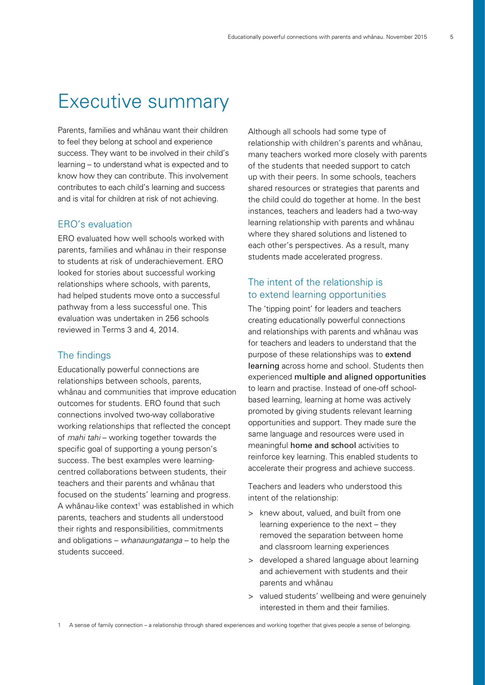## Executive summary

Parents, families and whänau want their children to feel they belong at school and experience success. They want to be involved in their child's learning – to understand what is expected and to know how they can contribute. This involvement contributes to each child's learning and success and is vital for children at risk of not achieving.

#### ERO's evaluation

ERO evaluated how well schools worked with parents, families and whänau in their response to students at risk of underachievement. ERO looked for stories about successful working relationships where schools, with parents, had helped students move onto a successful pathway from a less successful one. This evaluation was undertaken in 256 schools reviewed in Terms 3 and 4, 2014.

#### The findings

Educationally powerful connections are relationships between schools, parents, whänau and communities that improve education outcomes for students. ERO found that such connections involved two-way collaborative working relationships that reflected the concept of mahi tahi – working together towards the specific goal of supporting a young person's success. The best examples were learningcentred collaborations between students, their teachers and their parents and whänau that focused on the students' learning and progress. A whānau-like context<sup>1</sup> was established in which parents, teachers and students all understood their rights and responsibilities, commitments and obligations – whanaungatanga – to help the students succeed.

Although all schools had some type of relationship with children's parents and whänau, many teachers worked more closely with parents of the students that needed support to catch up with their peers. In some schools, teachers shared resources or strategies that parents and the child could do together at home. In the best instances, teachers and leaders had a two-way learning relationship with parents and whänau where they shared solutions and listened to each other's perspectives. As a result, many students made accelerated progress.

### The intent of the relationship is to extend learning opportunities

The 'tipping point' for leaders and teachers creating educationally powerful connections and relationships with parents and whänau was for teachers and leaders to understand that the purpose of these relationships was to extend learning across home and school. Students then experienced multiple and aligned opportunities to learn and practise. Instead of one-off schoolbased learning, learning at home was actively promoted by giving students relevant learning opportunities and support. They made sure the same language and resources were used in meaningful home and school activities to reinforce key learning. This enabled students to accelerate their progress and achieve success.

Teachers and leaders who understood this intent of the relationship:

- > knew about, valued, and built from one learning experience to the next – they removed the separation between home and classroom learning experiences
- > developed a shared language about learning and achievement with students and their parents and whänau
- > valued students' wellbeing and were genuinely interested in them and their families.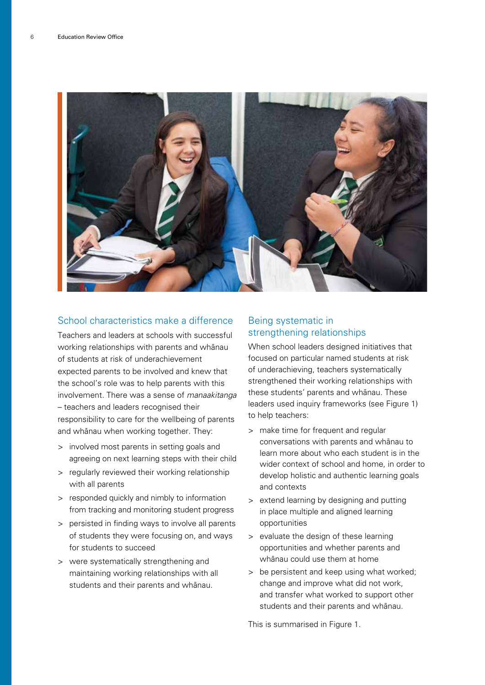

#### School characteristics make a difference

Teachers and leaders at schools with successful working relationships with parents and whänau of students at risk of underachievement expected parents to be involved and knew that the school's role was to help parents with this involvement. There was a sense of manaakitanga – teachers and leaders recognised their responsibility to care for the wellbeing of parents and whänau when working together. They:

- > involved most parents in setting goals and agreeing on next learning steps with their child
- > regularly reviewed their working relationship with all parents
- > responded quickly and nimbly to information from tracking and monitoring student progress
- > persisted in finding ways to involve all parents of students they were focusing on, and ways for students to succeed
- > were systematically strengthening and maintaining working relationships with all students and their parents and whänau.

### Being systematic in strengthening relationships

When school leaders designed initiatives that focused on particular named students at risk of underachieving, teachers systematically strengthened their working relationships with these students' parents and whänau. These leaders used inquiry frameworks (see Figure 1) to help teachers:

- > make time for frequent and regular conversations with parents and whänau to learn more about who each student is in the wider context of school and home, in order to develop holistic and authentic learning goals and contexts
- > extend learning by designing and putting in place multiple and aligned learning opportunities
- > evaluate the design of these learning opportunities and whether parents and whänau could use them at home
- > be persistent and keep using what worked; change and improve what did not work, and transfer what worked to support other students and their parents and whänau.

This is summarised in Figure 1.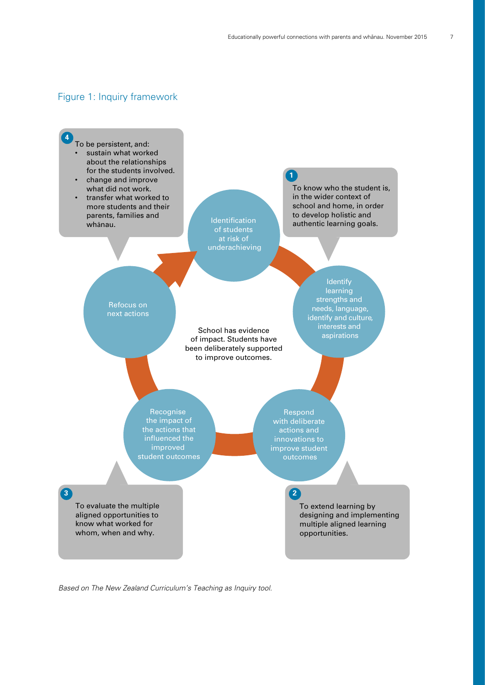#### Figure 1: Inquiry framework



Based on The New Zealand Curriculum's Teaching as Inquiry tool.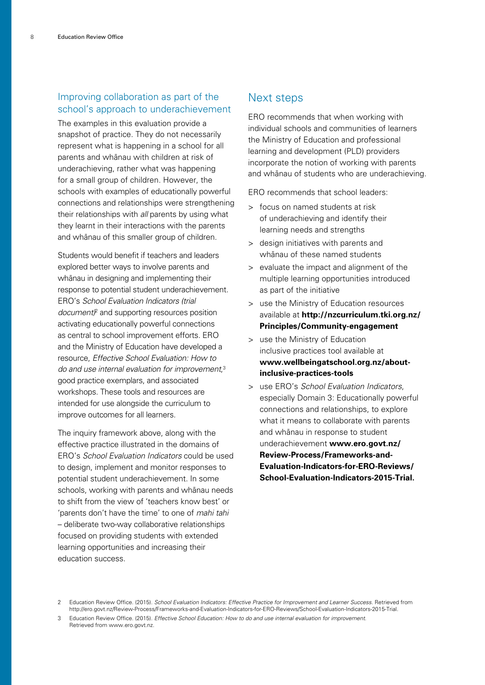#### Improving collaboration as part of the school's approach to underachievement

The examples in this evaluation provide a snapshot of practice. They do not necessarily represent what is happening in a school for all parents and whänau with children at risk of underachieving, rather what was happening for a small group of children. However, the schools with examples of educationally powerful connections and relationships were strengthening their relationships with all parents by using what they learnt in their interactions with the parents and whänau of this smaller group of children.

Students would benefit if teachers and leaders explored better ways to involve parents and whänau in designing and implementing their response to potential student underachievement. ERO's School Evaluation Indicators (trial document<sup> $p$ </sup> and supporting resources position activating educationally powerful connections as central to school improvement efforts. ERO and the Ministry of Education have developed a resource, Effective School Evaluation: How to do and use internal evaluation for improvement, 3 good practice exemplars, and associated workshops. These tools and resources are intended for use alongside the curriculum to improve outcomes for all learners.

The inquiry framework above, along with the effective practice illustrated in the domains of ERO's School Evaluation Indicators could be used to design, implement and monitor responses to potential student underachievement. In some schools, working with parents and whänau needs to shift from the view of 'teachers know best' or 'parents don't have the time' to one of mahi tahi – deliberate two-way collaborative relationships focused on providing students with extended learning opportunities and increasing their education success.

#### Next steps

ERO recommends that when working with individual schools and communities of learners the Ministry of Education and professional learning and development (PLD) providers incorporate the notion of working with parents and whänau of students who are underachieving.

ERO recommends that school leaders:

- > focus on named students at risk of underachieving and identify their learning needs and strengths
- > design initiatives with parents and whänau of these named students
- > evaluate the impact and alignment of the multiple learning opportunities introduced as part of the initiative
- > use the Ministry of Education resources available at **[http://nzcurriculum.tki.org.nz/](http://nzcurriculum.tki.org.nz/Principles/Community-engagement) [Principles/Community-engagement](http://nzcurriculum.tki.org.nz/Principles/Community-engagement)**
- > use the Ministry of Education inclusive practices tool available at **[www.wellbeingatschool.org.nz/about](http://www.wellbeingatschool.org.nz/about-inclusive-practices-tools)[inclusive-practices-tools](http://www.wellbeingatschool.org.nz/about-inclusive-practices-tools)**
- > use ERO's School Evaluation Indicators, especially Domain 3: Educationally powerful connections and relationships, to explore what it means to collaborate with parents and whänau in response to student underachievement **www.[ero.govt.nz/](http://ero.govt.nz/Review-Process/Frameworks-and-Evaluation-Indicators-for-ERO-Reviews/School-Evaluation-Indicators-2015-Trial) [Review-Process/Frameworks-and-](http://ero.govt.nz/Review-Process/Frameworks-and-Evaluation-Indicators-for-ERO-Reviews/School-Evaluation-Indicators-2015-Trial)[Evaluation-Indicators-for-ERO-Reviews/](http://ero.govt.nz/Review-Process/Frameworks-and-Evaluation-Indicators-for-ERO-Reviews/School-Evaluation-Indicators-2015-Trial) [School-Evaluation-Indicators-2015-Trial](http://ero.govt.nz/Review-Process/Frameworks-and-Evaluation-Indicators-for-ERO-Reviews/School-Evaluation-Indicators-2015-Trial).**

Education Review Office. (2015). School Evaluation Indicators: Effective Practice for Improvement and Learner Success. Retrieved from http://ero.govt.nz/Review-Process/Frameworks-and-Evaluation-Indicators-for-ERO-Reviews/School-Evaluation-Indicators-2015-Trial.

<sup>3</sup> Education Review Office. (2015). Effective School Education: How to do and use internal evaluation for improvement. Retrieved from www.ero.govt.nz.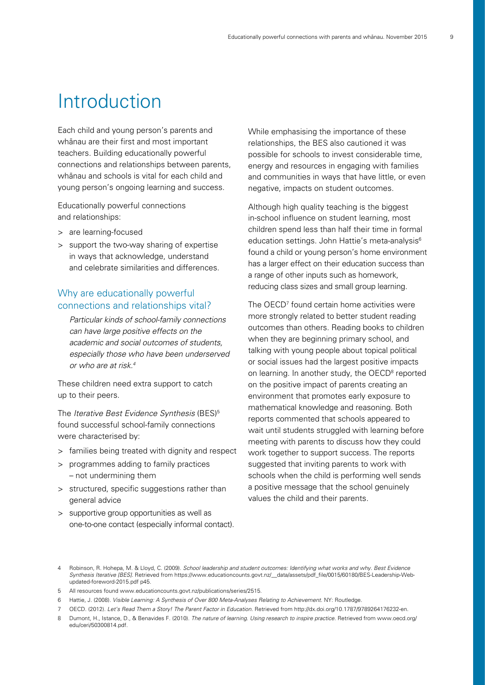## Introduction

Each child and young person's parents and whänau are their first and most important teachers. Building educationally powerful connections and relationships between parents, whänau and schools is vital for each child and young person's ongoing learning and success.

Educationally powerful connections and relationships:

- > are learning-focused
- > support the two-way sharing of expertise in ways that acknowledge, understand and celebrate similarities and differences.

#### Why are educationally powerful connections and relationships vital?

Particular kinds of school-family connections can have large positive effects on the academic and social outcomes of students, especially those who have been underserved or who are at risk.4

These children need extra support to catch up to their peers.

The *Iterative Best Evidence Synthesis* (BES)<sup>5</sup> found successful school-family connections were characterised by:

- > families being treated with dignity and respect
- > programmes adding to family practices – not undermining them
- > structured, specific suggestions rather than general advice
- > supportive group opportunities as well as one-to-one contact (especially informal contact).

While emphasising the importance of these relationships, the BES also cautioned it was possible for schools to invest considerable time, energy and resources in engaging with families and communities in ways that have little, or even negative, impacts on student outcomes.

Although high quality teaching is the biggest in-school influence on student learning, most children spend less than half their time in formal education settings. John Hattie's meta-analysis<sup>6</sup> found a child or young person's home environment has a larger effect on their education success than a range of other inputs such as homework, reducing class sizes and small group learning.

The OECD<sup>7</sup> found certain home activities were more strongly related to better student reading outcomes than others. Reading books to children when they are beginning primary school, and talking with young people about topical political or social issues had the largest positive impacts on learning. In another study, the OECD<sup>8</sup> reported on the positive impact of parents creating an environment that promotes early exposure to mathematical knowledge and reasoning. Both reports commented that schools appeared to wait until students struggled with learning before meeting with parents to discuss how they could work together to support success. The reports suggested that inviting parents to work with schools when the child is performing well sends a positive message that the school genuinely values the child and their parents.

<sup>4</sup> Robinson, R. Hohepa, M. & Lloyd, C. (2009). School leadership and student outcomes: Identifying what works and why. Best Evidence Synthesis Iterative [BES]. Retrieved from [https://www.educationcounts.govt.nz/\\_\\_data/assets/pdf\\_file/0015/60180/BES-Leadership-Web](https://www.educationcounts.govt.nz/__data/assets/pdf_file/0015/60180/BES-Leadership-Web-updated-foreword-2015.pdf)[updated-foreword-2015.pdf](https://www.educationcounts.govt.nz/__data/assets/pdf_file/0015/60180/BES-Leadership-Web-updated-foreword-2015.pdf) p45.

<sup>5</sup> All resources found [www.educationcounts.govt.nz/publications/series/2515.](https://www.educationcounts.govt.nz/publications/series/2515)

<sup>6</sup> Hattie, J. (2008). Visible Learning: A Synthesis of Over 800 Meta-Analyses Relating to Achievement. NY: Routledge.

<sup>7</sup> OECD. (2012). Let's Read Them a Story! The Parent Factor in Education. Retrieved from [http://dx.doi.org/10.1787/9789264176232-en.](http://dx.doi.org/10.1787/9789264176232-en)

<sup>8</sup> Dumont, H., Istance, D., & Benavides F. (2010). The nature of learning. Using research to inspire practice. Retrieved from www.oecd.org/ edu/ceri/50300814.pdf.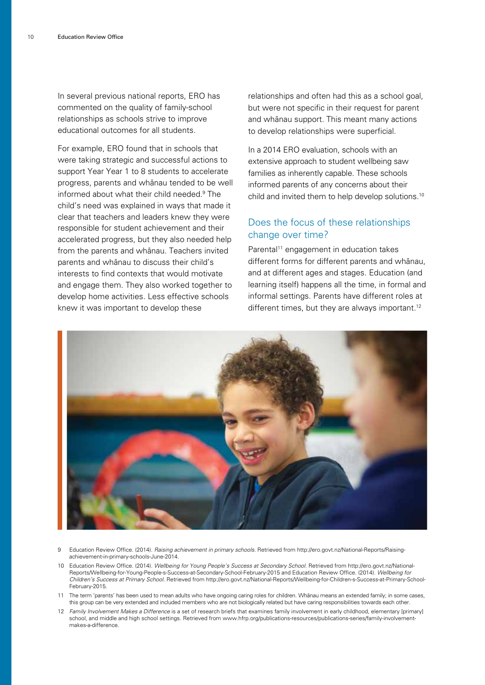In several previous national reports, ERO has commented on the quality of family-school relationships as schools strive to improve educational outcomes for all students.

For example, ERO found that in schools that were taking strategic and successful actions to support Year Year 1 to 8 students to accelerate progress, parents and whänau tended to be well informed about what their child needed.9 The child's need was explained in ways that made it clear that teachers and leaders knew they were responsible for student achievement and their accelerated progress, but they also needed help from the parents and whänau. Teachers invited parents and whänau to discuss their child's interests to find contexts that would motivate and engage them. They also worked together to develop home activities. Less effective schools knew it was important to develop these

relationships and often had this as a school goal, but were not specific in their request for parent and whänau support. This meant many actions to develop relationships were superficial.

In a 2014 ERO evaluation, schools with an extensive approach to student wellbeing saw families as inherently capable. These schools informed parents of any concerns about their child and invited them to help develop solutions.10

#### Does the focus of these relationships change over time?

Parental<sup>11</sup> engagement in education takes different forms for different parents and whänau, and at different ages and stages. Education (and learning itself) happens all the time, in formal and informal settings. Parents have different roles at different times, but they are always important.<sup>12</sup>



- 9 Education Review Office. (2014). Raising achievement in primary schools. Retrieved from http://ero.govt.nz/National-Reports/Raisingachievement-in-primary-schools-June-2014.
- 10 Education Review Office. (2014). Wellbeing for Young People's Success at Secondary School. Retrieved from [http://ero.govt.nz/National-](http://ero.govt.nz/National-Reports/Wellbeing-for-Young-People-s-Success-at-Secondary-School-February-2015)[Reports/Wellbeing-for-Young-People-s-Success-at-Secondary-School-February-2015](http://ero.govt.nz/National-Reports/Wellbeing-for-Young-People-s-Success-at-Secondary-School-February-2015) and Education Review Office. (2014). Wellbeing for Children's Success at Primary School. Retrieved from [http://ero.govt.nz/National-Reports/Wellbeing-for-Children-s-Success-at-Primary-School-](http://ero.govt.nz/National-Reports/Wellbeing-for-Children-s-Success-at-Primary-School-February-2015)[February-2015.](http://ero.govt.nz/National-Reports/Wellbeing-for-Children-s-Success-at-Primary-School-February-2015)
- 11 The term 'parents' has been used to mean adults who have ongoing caring roles for children. Whänau means an extended family; in some cases, this group can be very extended and included members who are not biologically related but have caring responsibilities towards each other.
- 12 Family Involvement Makes a Difference is a set of research briefs that examines family involvement in early childhood, elementary [primary] school, and middle and high school settings. Retrieved from [www.hfrp.org/publications-resources/publications-series/family-involvement](http://www.hfrp.org/publications-resources/publications-series/family-involvement-makes-a-difference)[makes-a-difference.](http://www.hfrp.org/publications-resources/publications-series/family-involvement-makes-a-difference)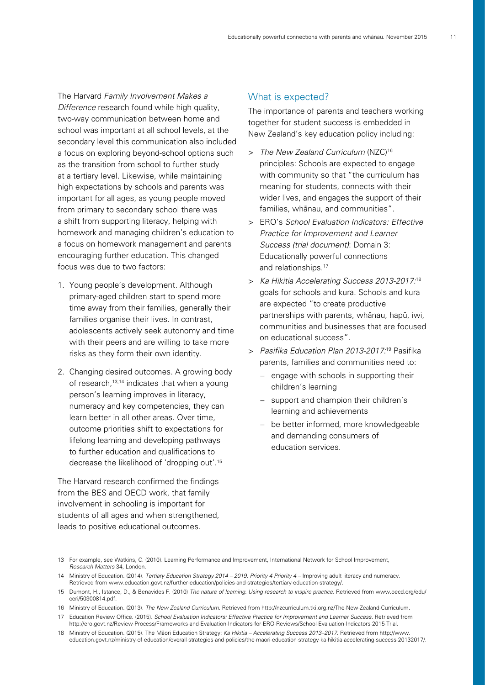The Harvard Family Involvement Makes a Difference research found while high quality, two-way communication between home and school was important at all school levels, at the secondary level this communication also included a focus on exploring beyond-school options such as the transition from school to further study at a tertiary level. Likewise, while maintaining high expectations by schools and parents was important for all ages, as young people moved from primary to secondary school there was a shift from supporting literacy, helping with homework and managing children's education to a focus on homework management and parents encouraging further education. This changed focus was due to two factors:

- 1. Young people's development. Although primary-aged children start to spend more time away from their families, generally their families organise their lives. In contrast, adolescents actively seek autonomy and time with their peers and are willing to take more risks as they form their own identity.
- 2. Changing desired outcomes. A growing body of research,<sup>13,14</sup> indicates that when a young person's learning improves in literacy, numeracy and key competencies, they can learn better in all other areas. Over time, outcome priorities shift to expectations for lifelong learning and developing pathways to further education and qualifications to decrease the likelihood of 'dropping out'.15

The Harvard research confirmed the findings from the BES and OECD work, that family involvement in schooling is important for students of all ages and when strengthened, leads to positive educational outcomes.

#### What is expected?

The importance of parents and teachers working together for student success is embedded in New Zealand's key education policy including:

- > The New Zealand Curriculum (NZC)<sup>16</sup> principles: Schools are expected to engage with community so that "the curriculum has meaning for students, connects with their wider lives, and engages the support of their families, whänau, and communities".
- > ERO's School Evaluation Indicators: Effective Practice for Improvement and Learner Success (trial document): Domain 3: Educationally powerful connections and relationships.17
- > Ka Hikitia Accelerating Success 2013-2017:<sup>18</sup> goals for schools and kura. Schools and kura are expected "to create productive partnerships with parents, whänau, hapü, iwi, communities and businesses that are focused on educational success".
- > Pasifika Education Plan 2013-2017:<sup>19</sup> Pasifika parents, families and communities need to:
	- − engage with schools in supporting their children's learning
	- − support and champion their children's learning and achievements
	- − be better informed, more knowledgeable and demanding consumers of education services.

<sup>13</sup> For example, see Watkins, C. (2010). Learning Performance and Improvement, International Network for School Improvement, Research Matters 34, London.

<sup>14</sup> Ministry of Education. (2014). Tertiary Education Strategy 2014 – 2019, Priority 4 Priority 4 – Improving adult literacy and numeracy. Retrieved from [www.education.govt.nz/further-education/policies-and-strategies/tertiary-education-strategy/.](file:///Volumes/Work%20in%20Progress/Angela%27s%20WIP/ERO%2015216%20Powerful%20Connections_doc/client%20files/www.education.govt.nz/further-education/policies-and-strategies/tertiary-education-strategy/)

<sup>15</sup> Dumont, H., Istance, D., & Benavides F. (2010) The nature of learning. Using research to inspire practice. Retrieved from www.oecd.org/edu/ ceri/50300814.pdf.

<sup>16</sup> Ministry of Education. (2013). The New Zealand Curriculum. Retrieved from http://nzcurriculum.tki.org.nz/The-New-Zealand-Curriculum.

<sup>17</sup> Education Review Office. (2015). School Evaluation Indicators: Effective Practice for Improvement and Learner Success. Retrieved from http://ero.govt.nz/Review-Process/Frameworks-and-Evaluation-Indicators-for-ERO-Reviews/School-Evaluation-Indicators-2015-Trial.

<sup>18</sup> Ministry of Education. (2015). The Mäori Education Strategy: Ka Hikitia – Accelerating Success 2013–2017. Retrieved from http://www. education.govt.nz/ministry-of-education/overall-strategies-and-policies/the-maori-education-strategy-ka-hikitia-accelerating-success-20132017/.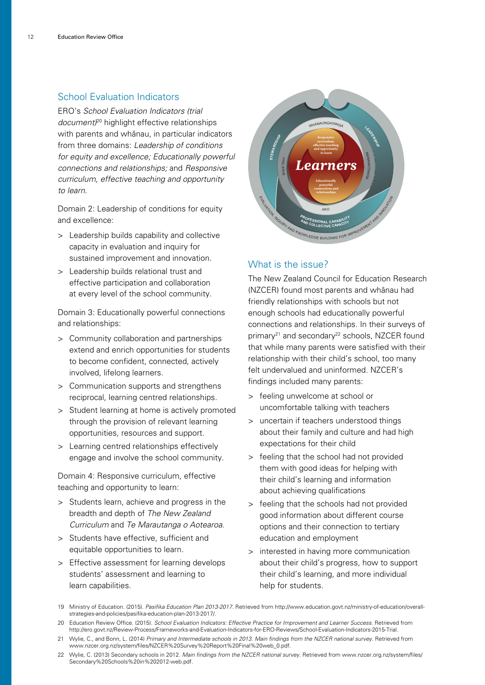#### School Evaluation Indicators

ERO's School Evaluation Indicators (trial document<sup> $20$ </sup> highlight effective relationships with parents and whänau, in particular indicators from three domains: Leadership of conditions for equity and excellence; Educationally powerful connections and relationships; and Responsive curriculum, effective teaching and opportunity to learn.

Domain 2: Leadership of conditions for equity and excellence:

- > Leadership builds capability and collective capacity in evaluation and inquiry for sustained improvement and innovation.
- > Leadership builds relational trust and effective participation and collaboration at every level of the school community.

Domain 3: Educationally powerful connections and relationships:

- > Community collaboration and partnerships extend and enrich opportunities for students to become confident, connected, actively involved, lifelong learners.
- > Communication supports and strengthens reciprocal, learning centred relationships.
- > Student learning at home is actively promoted through the provision of relevant learning opportunities, resources and support.
- > Learning centred relationships effectively engage and involve the school community.

Domain 4: Responsive curriculum, effective teaching and opportunity to learn:

- > Students learn, achieve and progress in the breadth and depth of The New Zealand Curriculum and Te Marautanga o Aotearoa.
- > Students have effective, sufficient and equitable opportunities to learn.
- > Effective assessment for learning develops students' assessment and learning to learn capabilities.



#### What is the issue?

The New Zealand Council for Education Research (NZCER) found most parents and whänau had friendly relationships with schools but not enough schools had educationally powerful connections and relationships. In their surveys of primary<sup>21</sup> and secondary<sup>22</sup> schools, NZCER found that while many parents were satisfied with their relationship with their child's school, too many felt undervalued and uninformed. NZCER's findings included many parents:

- > feeling unwelcome at school or uncomfortable talking with teachers
- > uncertain if teachers understood things about their family and culture and had high expectations for their child
- > feeling that the school had not provided them with good ideas for helping with their child's learning and information about achieving qualifications
- > feeling that the schools had not provided good information about different course options and their connection to tertiary education and employment
- > interested in having more communication about their child's progress, how to support their child's learning, and more individual help for students.
- 19 Ministry of Education. (2015). Pasifika Education Plan 2013-2017. Retrieved from http://www.education.govt.nz/ministry-of-education/overallstrategies-and-policies/pasifika-education-plan-2013-2017/.
- 20 Education Review Office. (2015). School Evaluation Indicators: Effective Practice for Improvement and Learner Success. Retrieved from http://ero.govt.nz/Review-Process/Frameworks-and-Evaluation-Indicators-for-ERO-Reviews/School-Evaluation-Indicators-2015-Trial.
- 21 Wylie, C., and Bonn, L. (2014) Primary and Intermediate schools in 2013. Main findings from the NZCER national survey. Retrieved from www.nzcer.org.nz/system/files/NZCER%20Survey%20Report%20Final%20web\_0.pdf.
- 22 Wylie, C. (2013) Secondary schools in 2012. Main findings from the NZCER national survey. Retrieved from www.nzcer.org.nz/system/files/ Secondary%20Schools%20in%202012-web.pdf.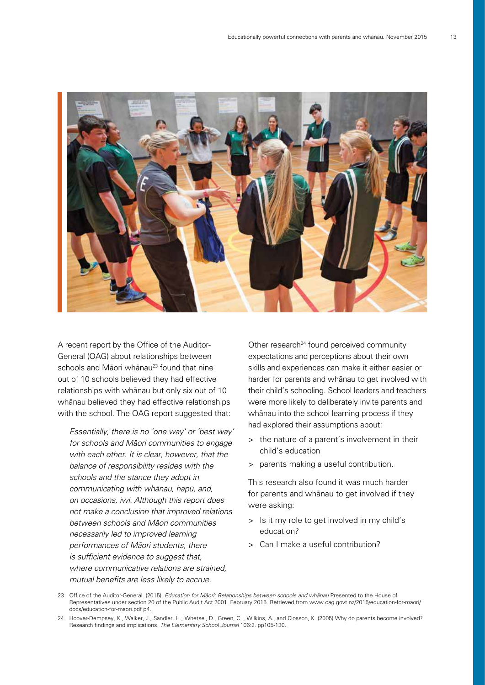

A recent report by the Office of the Auditor-General (OAG) about relationships between schools and Māori whānau<sup>23</sup> found that nine out of 10 schools believed they had effective relationships with whänau but only six out of 10 whänau believed they had effective relationships with the school. The OAG report suggested that:

Essentially, there is no 'one way' or 'best way' for schools and Mäori communities to engage with each other. It is clear, however, that the balance of responsibility resides with the schools and the stance they adopt in communicating with whänau, hapü, and, on occasions, iwi. Although this report does not make a conclusion that improved relations between schools and Mäori communities necessarily led to improved learning performances of Mäori students, there is sufficient evidence to suggest that, where communicative relations are strained. mutual benefits are less likely to accrue.

Other research<sup>24</sup> found perceived community expectations and perceptions about their own skills and experiences can make it either easier or harder for parents and whānau to get involved with their child's schooling. School leaders and teachers were more likely to deliberately invite parents and whänau into the school learning process if they had explored their assumptions about:

- > the nature of a parent's involvement in their child's education
- > parents making a useful contribution.

This research also found it was much harder for parents and whänau to get involved if they were asking:

- > Is it my role to get involved in my child's education?
- > Can I make a useful contribution?
- 23 Office of the Auditor-General. (2015). Education for Māori: Relationships between schools and whänau Presented to the House of Representatives under section 20 of the Public Audit Act 2001. February 2015. Retrieved from www.oag.govt.nz/2015/education-for-maori/ docs/education-for-maori.pdf p4.
- 24 Hoover-Dempsey, K., Walker, J., Sandler, H., Whetsel, D., Green, C. , Wilkins, A., and Closson, K. (2005) Why do parents become involved? Research findings and implications. The Elementary School Journal 106:2. pp105-130.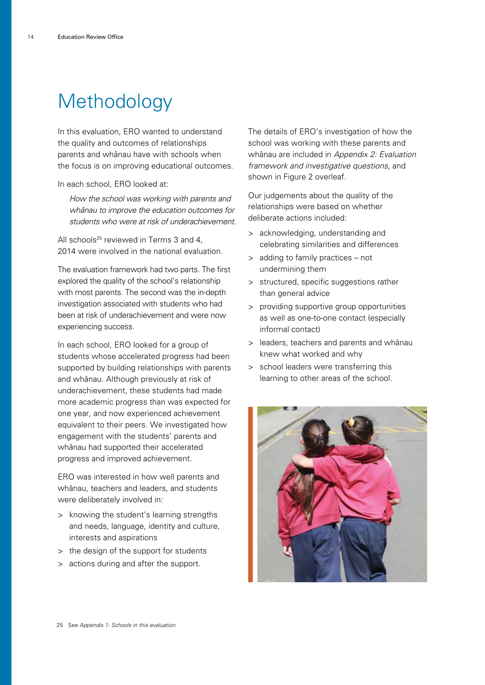## **Methodology**

In this evaluation, ERO wanted to understand the quality and outcomes of relationships parents and whänau have with schools when the focus is on improving educational outcomes.

In each school, ERO looked at:

How the school was working with parents and whänau to improve the education outcomes for students who were at risk of underachievement.

All schools<sup>25</sup> reviewed in Terms 3 and 4, 2014 were involved in the national evaluation.

The evaluation framework had two parts. The first explored the quality of the school's relationship with most parents. The second was the in-depth investigation associated with students who had been at risk of underachievement and were now experiencing success.

In each school, ERO looked for a group of students whose accelerated progress had been supported by building relationships with parents and whänau. Although previously at risk of underachievement, these students had made more academic progress than was expected for one year, and now experienced achievement equivalent to their peers. We investigated how engagement with the students' parents and whänau had supported their accelerated progress and improved achievement.

ERO was interested in how well parents and whänau, teachers and leaders, and students were deliberately involved in:

- > knowing the student's learning strengths and needs, language, identity and culture, interests and aspirations
- > the design of the support for students
- > actions during and after the support.

The details of ERO's investigation of how the school was working with these parents and whänau are included in Appendix 2: Evaluation framework and investigative questions, and shown in Figure 2 overleaf.

Our judgements about the quality of the relationships were based on whether deliberate actions included:

- > acknowledging, understanding and celebrating similarities and differences
- > adding to family practices not undermining them
- > structured, specific suggestions rather than general advice
- > providing supportive group opportunities as well as one-to-one contact (especially informal contact)
- > leaders, teachers and parents and whänau knew what worked and why
- > school leaders were transferring this learning to other areas of the school.

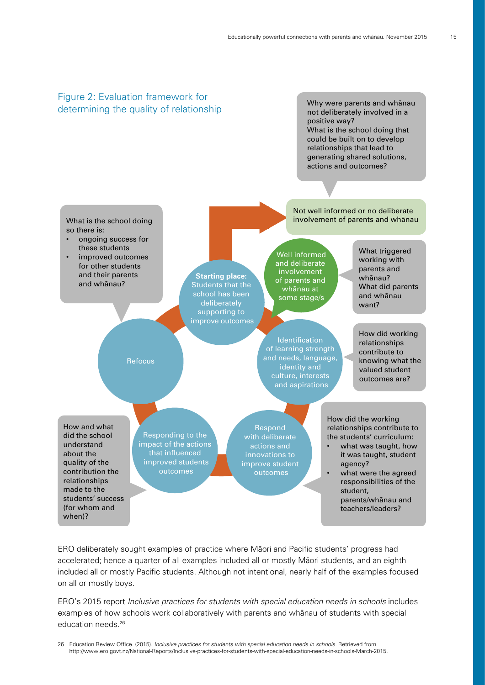

ERO deliberately sought examples of practice where Mäori and Pacific students' progress had accelerated; hence a quarter of all examples included all or mostly Mäori students, and an eighth included all or mostly Pacific students. Although not intentional, nearly half of the examples focused on all or mostly boys.

ERO's 2015 report [Inclusive practices for students with special education needs in schools](http://www.ero.govt.nz/National-Reports/Inclusive-practices-for-students-with-special-education-needs-in-schools-March-2015) includes examples of how schools work collaboratively with parents and whänau of students with special education needs.26

26 Education Review Office. (2015). Inclusive practices for students with special education needs in schools. Retrieved from http://www.ero.govt.nz/National-Reports/Inclusive-practices-for-students-with-special-education-needs-in-schools-March-2015.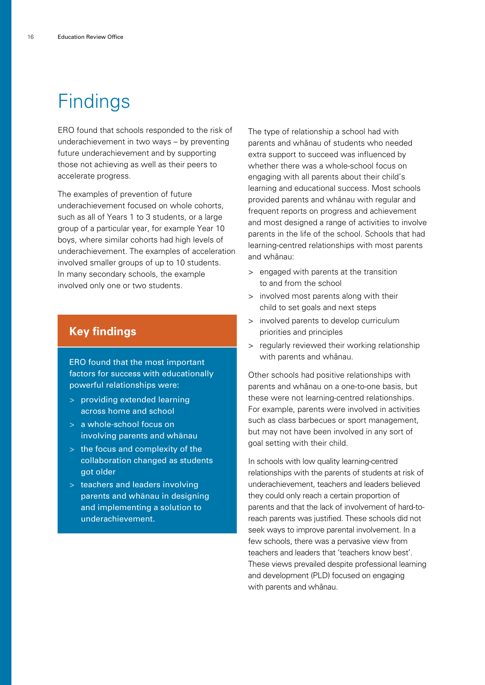## **Findings**

ERO found that schools responded to the risk of underachievement in two ways – by preventing future underachievement and by supporting those not achieving as well as their peers to accelerate progress.

The examples of prevention of future underachievement focused on whole cohorts, such as all of Years 1 to 3 students, or a large group of a particular year, for example Year 10 boys, where similar cohorts had high levels of underachievement. The examples of acceleration involved smaller groups of up to 10 students. In many secondary schools, the example involved only one or two students.

### **Key findings**

ERO found that the most important factors for success with educationally powerful relationships were:

- > providing extended learning across home and school
- > a whole-school focus on involving parents and whänau
- > the focus and complexity of the collaboration changed as students got older
- > teachers and leaders involving parents and whänau in designing and implementing a solution to underachievement.

The type of relationship a school had with parents and whänau of students who needed extra support to succeed was influenced by whether there was a whole-school focus on engaging with all parents about their child's learning and educational success. Most schools provided parents and whänau with regular and frequent reports on progress and achievement and most designed a range of activities to involve parents in the life of the school. Schools that had learning-centred relationships with most parents and whänau:

- > engaged with parents at the transition to and from the school
- > involved most parents along with their child to set goals and next steps
- > involved parents to develop curriculum priorities and principles
- > regularly reviewed their working relationship with parents and whänau.

Other schools had positive relationships with parents and whänau on a one-to-one basis, but these were not learning-centred relationships. For example, parents were involved in activities such as class barbecues or sport management, but may not have been involved in any sort of goal setting with their child.

In schools with low quality learning-centred relationships with the parents of students at risk of underachievement, teachers and leaders believed they could only reach a certain proportion of parents and that the lack of involvement of hard-toreach parents was justified. These schools did not seek ways to improve parental involvement. In a few schools, there was a pervasive view from teachers and leaders that 'teachers know best'. These views prevailed despite professional learning and development (PLD) focused on engaging with parents and whänau.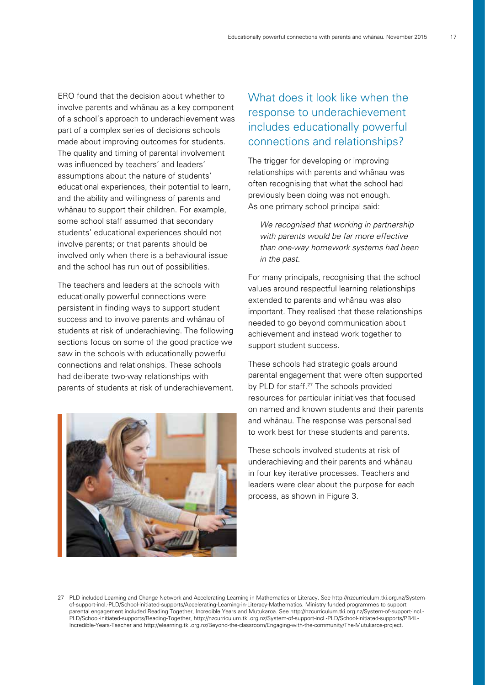ERO found that the decision about whether to involve parents and whänau as a key component of a school's approach to underachievement was part of a complex series of decisions schools made about improving outcomes for students. The quality and timing of parental involvement was influenced by teachers' and leaders' assumptions about the nature of students' educational experiences, their potential to learn, and the ability and willingness of parents and whänau to support their children. For example, some school staff assumed that secondary students' educational experiences should not involve parents; or that parents should be involved only when there is a behavioural issue and the school has run out of possibilities.

The teachers and leaders at the schools with educationally powerful connections were persistent in finding ways to support student success and to involve parents and whänau of students at risk of underachieving. The following sections focus on some of the good practice we saw in the schools with educationally powerful connections and relationships. These schools had deliberate two-way relationships with parents of students at risk of underachievement.



### What does it look like when the response to underachievement includes educationally powerful connections and relationships?

The trigger for developing or improving relationships with parents and whänau was often recognising that what the school had previously been doing was not enough. As one primary school principal said:

We recognised that working in partnership with parents would be far more effective than one-way homework systems had been in the past.

For many principals, recognising that the school values around respectful learning relationships extended to parents and whänau was also important. They realised that these relationships needed to go beyond communication about achievement and instead work together to support student success.

These schools had strategic goals around parental engagement that were often supported by PLD for staff.<sup>27</sup> The schools provided resources for particular initiatives that focused on named and known students and their parents and whänau. The response was personalised to work best for these students and parents.

These schools involved students at risk of underachieving and their parents and whänau in four key iterative processes. Teachers and leaders were clear about the purpose for each process, as shown in Figure 3.

<sup>27</sup> PLD included Learning and Change Network and Accelerating Learning in Mathematics or Literacy. See [http://nzcurriculum.tki.org.nz/System](http://nzcurriculum.tki.org.nz/System-of-support-incl.-PLD/School-initiated-supports/Accelerating-Learning-in-Literacy-Mathematics)[of-support-incl.-PLD/School-initiated-supports/Accelerating-Learning-in-Literacy-Mathematics.](http://nzcurriculum.tki.org.nz/System-of-support-incl.-PLD/School-initiated-supports/Accelerating-Learning-in-Literacy-Mathematics) Ministry funded programmes to support parental engagement included Reading Together, Incredible Years and Mutukaroa. See [http://nzcurriculum.tki.org.nz/System-of-support-incl.-](http://nzcurriculum.tki.org.nz/System-of-support-incl.-PLD/School-initiated-supports/Reading-Together) [PLD/School-initiated-supports/Reading-Together](http://nzcurriculum.tki.org.nz/System-of-support-incl.-PLD/School-initiated-supports/Reading-Together), [http://nzcurriculum.tki.org.nz/System-of-support-incl.-PLD/School-initiated-supports/PB4L-](http://nzcurriculum.tki.org.nz/System-of-support-incl.-PLD/School-initiated-supports/PB4L-Incredible-Years-Teacher)[Incredible-Years-Teacher](http://nzcurriculum.tki.org.nz/System-of-support-incl.-PLD/School-initiated-supports/PB4L-Incredible-Years-Teacher) and <http://elearning.tki.org.nz/Beyond-the-classroom/Engaging-with-the-community/The-Mutukaroa-project>.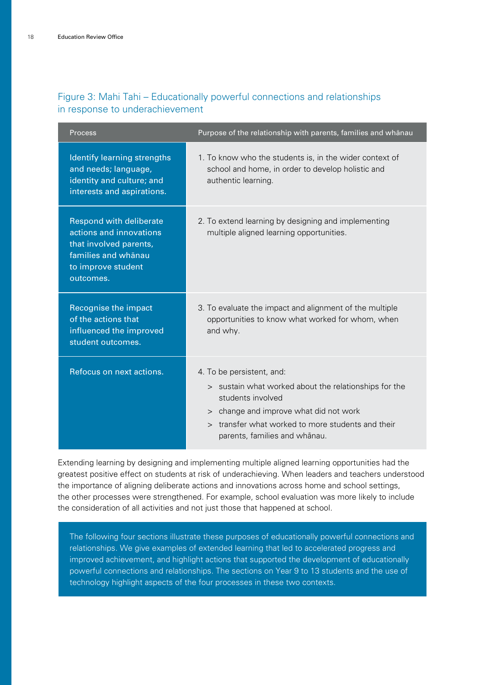| Process                                                                                                                                       | Purpose of the relationship with parents, families and whānau                                                                                                                                                                                   |
|-----------------------------------------------------------------------------------------------------------------------------------------------|-------------------------------------------------------------------------------------------------------------------------------------------------------------------------------------------------------------------------------------------------|
| Identify learning strengths<br>and needs; language,<br>identity and culture; and<br>interests and aspirations.                                | 1. To know who the students is, in the wider context of<br>school and home, in order to develop holistic and<br>authentic learning.                                                                                                             |
| <b>Respond with deliberate</b><br>actions and innovations<br>that involved parents,<br>families and whanau<br>to improve student<br>outcomes. | 2. To extend learning by designing and implementing<br>multiple aligned learning opportunities.                                                                                                                                                 |
| <b>Recognise the impact</b><br>of the actions that<br>influenced the improved<br>student outcomes.                                            | 3. To evaluate the impact and alignment of the multiple<br>opportunities to know what worked for whom, when<br>and why.                                                                                                                         |
| Refocus on next actions.                                                                                                                      | 4. To be persistent, and:<br>> sustain what worked about the relationships for the<br>students involved<br>> change and improve what did not work<br>transfer what worked to more students and their<br>$\geq$<br>parents, families and whānau. |

#### Figure 3: Mahi Tahi – Educationally powerful connections and relationships in response to underachievement

Extending learning by designing and implementing multiple aligned learning opportunities had the greatest positive effect on students at risk of underachieving. When leaders and teachers understood the importance of aligning deliberate actions and innovations across home and school settings, the other processes were strengthened. For example, school evaluation was more likely to include the consideration of all activities and not just those that happened at school.

The following four sections illustrate these purposes of educationally powerful connections and relationships. We give examples of extended learning that led to accelerated progress and improved achievement, and highlight actions that supported the development of educationally powerful connections and relationships. The sections on Year 9 to 13 students and the use of technology highlight aspects of the four processes in these two contexts.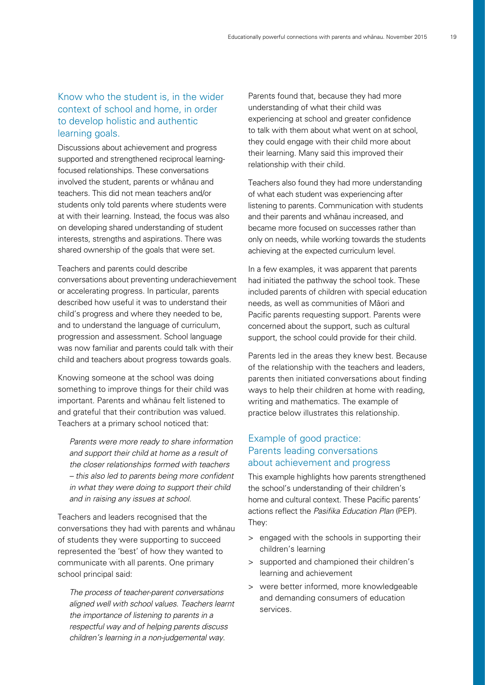#### Know who the student is, in the wider context of school and home, in order to develop holistic and authentic learning goals.

Discussions about achievement and progress supported and strengthened reciprocal learningfocused relationships. These conversations involved the student, parents or whänau and teachers. This did not mean teachers and/or students only told parents where students were at with their learning. Instead, the focus was also on developing shared understanding of student interests, strengths and aspirations. There was shared ownership of the goals that were set.

Teachers and parents could describe conversations about preventing underachievement or accelerating progress. In particular, parents described how useful it was to understand their child's progress and where they needed to be, and to understand the language of curriculum, progression and assessment. School language was now familiar and parents could talk with their child and teachers about progress towards goals.

Knowing someone at the school was doing something to improve things for their child was important. Parents and whänau felt listened to and grateful that their contribution was valued. Teachers at a primary school noticed that:

Parents were more ready to share information and support their child at home as a result of the closer relationships formed with teachers – this also led to parents being more confident in what they were doing to support their child and in raising any issues at school.

Teachers and leaders recognised that the conversations they had with parents and whänau of students they were supporting to succeed represented the 'best' of how they wanted to communicate with all parents. One primary school principal said:

The process of teacher-parent conversations aligned well with school values. Teachers learnt the importance of listening to parents in a respectful way and of helping parents discuss children's learning in a non-judgemental way.

Parents found that, because they had more understanding of what their child was experiencing at school and greater confidence to talk with them about what went on at school, they could engage with their child more about their learning. Many said this improved their relationship with their child.

Teachers also found they had more understanding of what each student was experiencing after listening to parents. Communication with students and their parents and whänau increased, and became more focused on successes rather than only on needs, while working towards the students achieving at the expected curriculum level.

In a few examples, it was apparent that parents had initiated the pathway the school took. These included parents of children with special education needs, as well as communities of Mäori and Pacific parents requesting support. Parents were concerned about the support, such as cultural support, the school could provide for their child.

Parents led in the areas they knew best. Because of the relationship with the teachers and leaders, parents then initiated conversations about finding ways to help their children at home with reading, writing and mathematics. The example of practice below illustrates this relationship.

#### Example of good practice: Parents leading conversations about achievement and progress

This example highlights how parents strengthened the school's understanding of their children's home and cultural context. These Pacific parents' actions reflect the Pasifika Education Plan (PEP). They:

- > engaged with the schools in supporting their children's learning
- > supported and championed their children's learning and achievement
- > were better informed, more knowledgeable and demanding consumers of education services.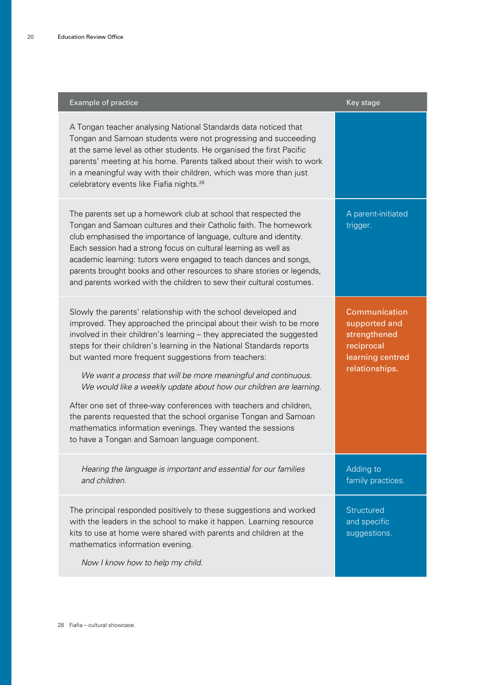| Example of practice                                                                                                                                                                                                                                                                                                                                                                                                                                                                                                                                                                                                                                                                                                                                | Key stage                                                                                          |
|----------------------------------------------------------------------------------------------------------------------------------------------------------------------------------------------------------------------------------------------------------------------------------------------------------------------------------------------------------------------------------------------------------------------------------------------------------------------------------------------------------------------------------------------------------------------------------------------------------------------------------------------------------------------------------------------------------------------------------------------------|----------------------------------------------------------------------------------------------------|
| A Tongan teacher analysing National Standards data noticed that<br>Tongan and Samoan students were not progressing and succeeding<br>at the same level as other students. He organised the first Pacific<br>parents' meeting at his home. Parents talked about their wish to work<br>in a meaningful way with their children, which was more than just<br>celebratory events like Fiafia nights. <sup>28</sup>                                                                                                                                                                                                                                                                                                                                     |                                                                                                    |
| The parents set up a homework club at school that respected the<br>Tongan and Samoan cultures and their Catholic faith. The homework<br>club emphasised the importance of language, culture and identity.<br>Each session had a strong focus on cultural learning as well as<br>academic learning: tutors were engaged to teach dances and songs,<br>parents brought books and other resources to share stories or legends,<br>and parents worked with the children to sew their cultural costumes.                                                                                                                                                                                                                                                | A parent-initiated<br>trigger.                                                                     |
| Slowly the parents' relationship with the school developed and<br>improved. They approached the principal about their wish to be more<br>involved in their children's learning - they appreciated the suggested<br>steps for their children's learning in the National Standards reports<br>but wanted more frequent suggestions from teachers:<br>We want a process that will be more meaningful and continuous.<br>We would like a weekly update about how our children are learning.<br>After one set of three-way conferences with teachers and children,<br>the parents requested that the school organise Tongan and Samoan<br>mathematics information evenings. They wanted the sessions<br>to have a Tongan and Samoan language component. | Communication<br>supported and<br>strengthened<br>reciprocal<br>learning centred<br>relationships. |
| Hearing the language is important and essential for our families<br>and children.                                                                                                                                                                                                                                                                                                                                                                                                                                                                                                                                                                                                                                                                  | Adding to<br>family practices.                                                                     |
| The principal responded positively to these suggestions and worked<br>with the leaders in the school to make it happen. Learning resource<br>kits to use at home were shared with parents and children at the<br>mathematics information evening.<br>Now I know how to help my child.                                                                                                                                                                                                                                                                                                                                                                                                                                                              | Structured<br>and specific<br>suggestions.                                                         |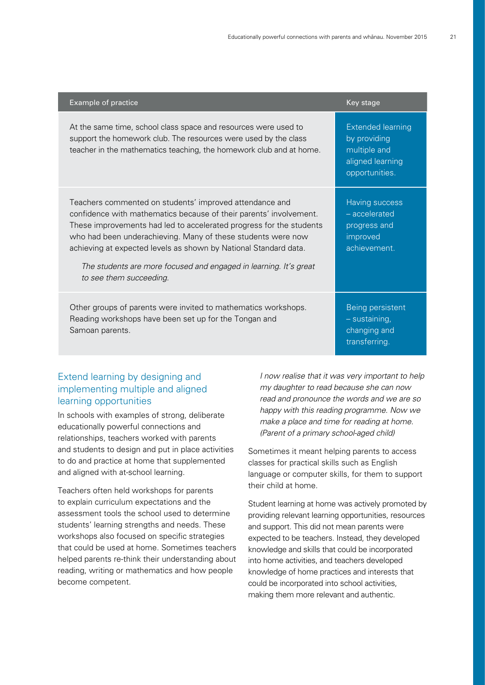| <b>Example of practice</b>                                                                                                                                                                                                                                                                                                                                                                                                               | Key stage                                                                                      |
|------------------------------------------------------------------------------------------------------------------------------------------------------------------------------------------------------------------------------------------------------------------------------------------------------------------------------------------------------------------------------------------------------------------------------------------|------------------------------------------------------------------------------------------------|
| At the same time, school class space and resources were used to<br>support the homework club. The resources were used by the class<br>teacher in the mathematics teaching, the homework club and at home.                                                                                                                                                                                                                                | <b>Extended learning</b><br>by providing<br>multiple and<br>aligned learning<br>opportunities. |
| Teachers commented on students' improved attendance and<br>confidence with mathematics because of their parents' involvement.<br>These improvements had led to accelerated progress for the students<br>who had been underachieving. Many of these students were now<br>achieving at expected levels as shown by National Standard data.<br>The students are more focused and engaged in learning. It's great<br>to see them succeeding. | Having success<br>- accelerated<br>progress and<br>improved<br>achievement.                    |
| Other groups of parents were invited to mathematics workshops.<br>Reading workshops have been set up for the Tongan and<br>Samoan parents.                                                                                                                                                                                                                                                                                               | Being persistent<br>- sustaining,<br>changing and<br>transferring.                             |

#### Extend learning by designing and implementing multiple and aligned learning opportunities

In schools with examples of strong, deliberate educationally powerful connections and relationships, teachers worked with parents and students to design and put in place activities to do and practice at home that supplemented and aligned with at-school learning.

Teachers often held workshops for parents to explain curriculum expectations and the assessment tools the school used to determine students' learning strengths and needs. These workshops also focused on specific strategies that could be used at home. Sometimes teachers helped parents re-think their understanding about reading, writing or mathematics and how people become competent.

I now realise that it was very important to help my daughter to read because she can now read and pronounce the words and we are so happy with this reading programme. Now we make a place and time for reading at home. (Parent of a primary school-aged child)

Sometimes it meant helping parents to access classes for practical skills such as English language or computer skills, for them to support their child at home.

Student learning at home was actively promoted by providing relevant learning opportunities, resources and support. This did not mean parents were expected to be teachers. Instead, they developed knowledge and skills that could be incorporated into home activities, and teachers developed knowledge of home practices and interests that could be incorporated into school activities, making them more relevant and authentic.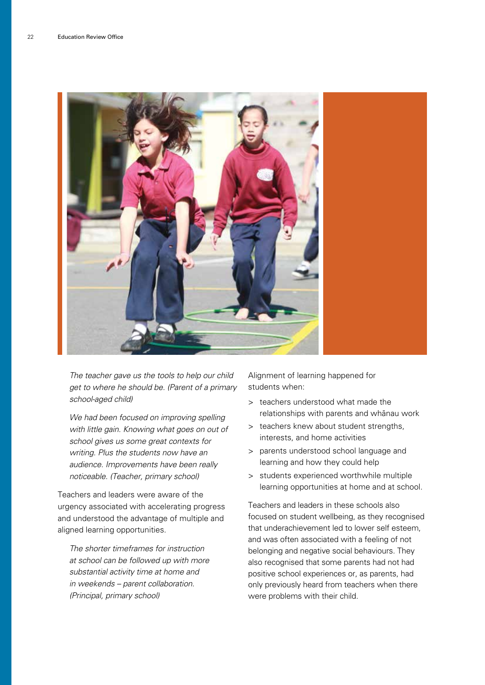

The teacher gave us the tools to help our child get to where he should be. (Parent of a primary school-aged child)

We had been focused on improving spelling with little gain. Knowing what goes on out of school gives us some great contexts for writing. Plus the students now have an audience. Improvements have been really noticeable. (Teacher, primary school)

Teachers and leaders were aware of the urgency associated with accelerating progress and understood the advantage of multiple and aligned learning opportunities.

The shorter timeframes for instruction at school can be followed up with more substantial activity time at home and in weekends – parent collaboration. (Principal, primary school)

Alignment of learning happened for students when:

- > teachers understood what made the relationships with parents and whänau work
- > teachers knew about student strengths, interests, and home activities
- > parents understood school language and learning and how they could help
- > students experienced worthwhile multiple learning opportunities at home and at school.

Teachers and leaders in these schools also focused on student wellbeing, as they recognised that underachievement led to lower self esteem, and was often associated with a feeling of not belonging and negative social behaviours. They also recognised that some parents had not had positive school experiences or, as parents, had only previously heard from teachers when there were problems with their child.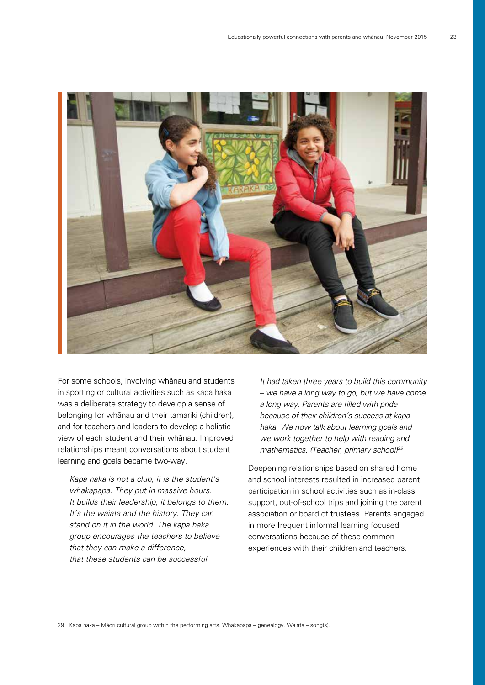

For some schools, involving whänau and students in sporting or cultural activities such as kapa haka was a deliberate strategy to develop a sense of belonging for whänau and their tamariki (children), and for teachers and leaders to develop a holistic view of each student and their whänau. Improved relationships meant conversations about student learning and goals became two-way.

Kapa haka is not a club, it is the student's whakapapa. They put in massive hours. It builds their leadership, it belongs to them. It's the waiata and the history. They can stand on it in the world. The kapa haka group encourages the teachers to believe that they can make a difference, that these students can be successful.

It had taken three years to build this community – we have a long way to go, but we have come a long way. Parents are filled with pride because of their children's success at kapa haka. We now talk about learning goals and we work together to help with reading and mathematics. (Teacher, primary school)<sup>29</sup>

Deepening relationships based on shared home and school interests resulted in increased parent participation in school activities such as in-class support, out-of-school trips and joining the parent association or board of trustees. Parents engaged in more frequent informal learning focused conversations because of these common experiences with their children and teachers.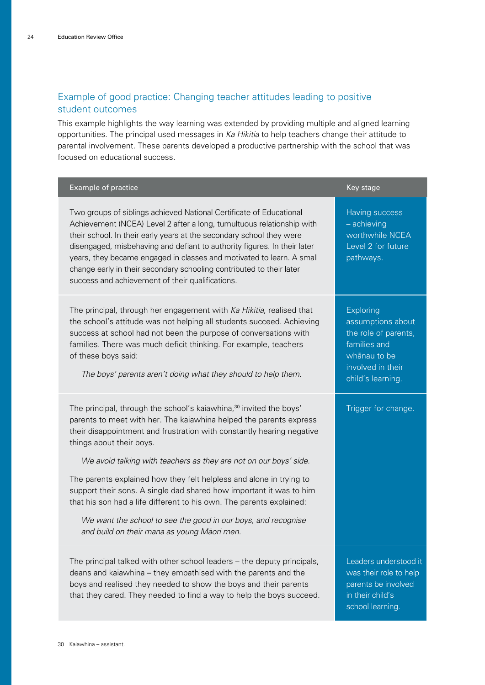### Example of good practice: Changing teacher attitudes leading to positive student outcomes

This example highlights the way learning was extended by providing multiple and aligned learning opportunities. The principal used messages in Ka Hikitia to help teachers change their attitude to parental involvement. These parents developed a productive partnership with the school that was focused on educational success.

| Example of practice                                                                                                                                                                                                                                                                                                                                                                                                                                                                                   | Key stage                                                                                                                               |
|-------------------------------------------------------------------------------------------------------------------------------------------------------------------------------------------------------------------------------------------------------------------------------------------------------------------------------------------------------------------------------------------------------------------------------------------------------------------------------------------------------|-----------------------------------------------------------------------------------------------------------------------------------------|
| Two groups of siblings achieved National Certificate of Educational<br>Achievement (NCEA) Level 2 after a long, tumultuous relationship with<br>their school. In their early years at the secondary school they were<br>disengaged, misbehaving and defiant to authority figures. In their later<br>years, they became engaged in classes and motivated to learn. A small<br>change early in their secondary schooling contributed to their later<br>success and achievement of their qualifications. | Having success<br>$-$ achieving<br>worthwhile NCEA<br>Level 2 for future<br>pathways.                                                   |
| The principal, through her engagement with Ka Hikitia, realised that<br>the school's attitude was not helping all students succeed. Achieving<br>success at school had not been the purpose of conversations with<br>families. There was much deficit thinking. For example, teachers<br>of these boys said:<br>The boys' parents aren't doing what they should to help them.                                                                                                                         | <b>Exploring</b><br>assumptions about<br>the role of parents,<br>families and<br>whānau to be<br>involved in their<br>child's learning. |
| The principal, through the school's kaiawhina, <sup>30</sup> invited the boys'<br>parents to meet with her. The kaiawhina helped the parents express<br>their disappointment and frustration with constantly hearing negative<br>things about their boys.<br>We avoid talking with teachers as they are not on our boys' side.<br>The parents explained how they felt helpless and alone in trying to                                                                                                 | Trigger for change.                                                                                                                     |
| support their sons. A single dad shared how important it was to him<br>that his son had a life different to his own. The parents explained:<br>We want the school to see the good in our boys, and recognise<br>and build on their mana as young Māori men.                                                                                                                                                                                                                                           |                                                                                                                                         |
| The principal talked with other school leaders – the deputy principals,<br>deans and kaiawhina - they empathised with the parents and the<br>boys and realised they needed to show the boys and their parents<br>that they cared. They needed to find a way to help the boys succeed.                                                                                                                                                                                                                 | Leaders understood it<br>was their role to help<br>parents be involved<br>in their child's<br>school learning.                          |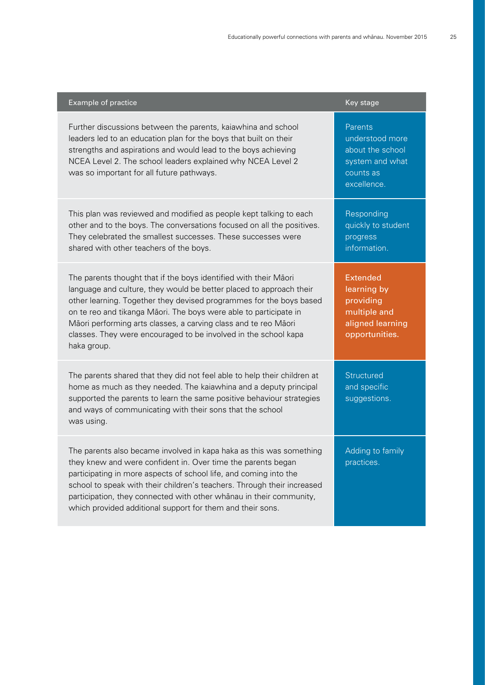| Example of practice                                                                                                                                                                                                                                                                                                                                                                                                                      | Key stage                                                                                         |
|------------------------------------------------------------------------------------------------------------------------------------------------------------------------------------------------------------------------------------------------------------------------------------------------------------------------------------------------------------------------------------------------------------------------------------------|---------------------------------------------------------------------------------------------------|
| Further discussions between the parents, kaiawhina and school<br>leaders led to an education plan for the boys that built on their<br>strengths and aspirations and would lead to the boys achieving<br>NCEA Level 2. The school leaders explained why NCEA Level 2<br>was so important for all future pathways.                                                                                                                         | Parents<br>understood more<br>about the school<br>system and what<br>counts as<br>excellence.     |
| This plan was reviewed and modified as people kept talking to each<br>other and to the boys. The conversations focused on all the positives.<br>They celebrated the smallest successes. These successes were<br>shared with other teachers of the boys.                                                                                                                                                                                  | Responding<br>quickly to student<br>progress<br>information.                                      |
| The parents thought that if the boys identified with their Māori<br>language and culture, they would be better placed to approach their<br>other learning. Together they devised programmes for the boys based<br>on te reo and tikanga Māori. The boys were able to participate in<br>Māori performing arts classes, a carving class and te reo Māori<br>classes. They were encouraged to be involved in the school kapa<br>haka group. | <b>Extended</b><br>learning by<br>providing<br>multiple and<br>aligned learning<br>opportunities. |
| The parents shared that they did not feel able to help their children at<br>home as much as they needed. The kaiawhina and a deputy principal<br>supported the parents to learn the same positive behaviour strategies<br>and ways of communicating with their sons that the school<br>was using.                                                                                                                                        | Structured<br>and specific<br>suggestions.                                                        |
| The parents also became involved in kapa haka as this was something<br>they knew and were confident in. Over time the parents began<br>participating in more aspects of school life, and coming into the<br>school to speak with their children's teachers. Through their increased<br>participation, they connected with other whanau in their community,<br>which provided additional support for them and their sons.                 | Adding to family<br>practices.                                                                    |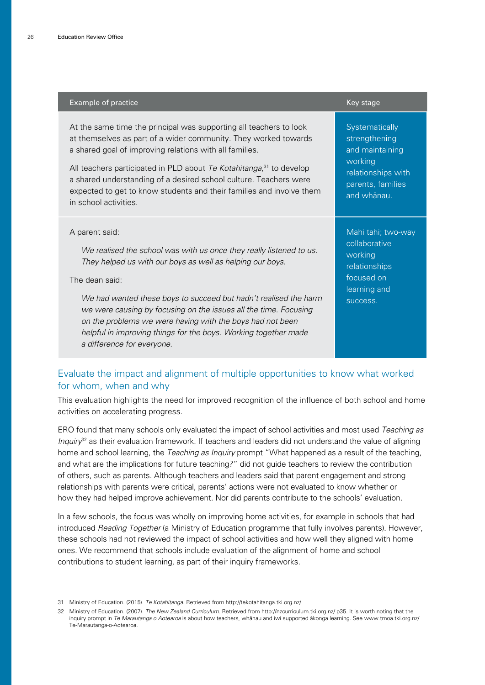| <b>Example of practice</b>                                                                                                                                                                                                                                                                                                                                                                                                                                                 | Key stage                                                                                                               |
|----------------------------------------------------------------------------------------------------------------------------------------------------------------------------------------------------------------------------------------------------------------------------------------------------------------------------------------------------------------------------------------------------------------------------------------------------------------------------|-------------------------------------------------------------------------------------------------------------------------|
| At the same time the principal was supporting all teachers to look<br>at themselves as part of a wider community. They worked towards<br>a shared goal of improving relations with all families.<br>All teachers participated in PLD about Te Kotahitanga, <sup>31</sup> to develop<br>a shared understanding of a desired school culture. Teachers were<br>expected to get to know students and their families and involve them<br>in school activities.                  | Systematically<br>strengthening<br>and maintaining<br>working<br>relationships with<br>parents, families<br>and whānau. |
| A parent said:<br>We realised the school was with us once they really listened to us.<br>They helped us with our boys as well as helping our boys.<br>The dean said:<br>We had wanted these boys to succeed but hadn't realised the harm<br>we were causing by focusing on the issues all the time. Focusing<br>on the problems we were having with the boys had not been<br>helpful in improving things for the boys. Working together made<br>a difference for everyone. | Mahi tahi; two-way<br>collaborative<br>working<br>relationships<br>focused on<br>learning and<br>success.               |

#### Evaluate the impact and alignment of multiple opportunities to know what worked for whom, when and why

This evaluation highlights the need for improved recognition of the influence of both school and home activities on accelerating progress.

ERO found that many schools only evaluated the impact of school activities and most used Teaching as Inquiry<sup>32</sup> as their evaluation framework. If teachers and leaders did not understand the value of aligning home and school learning, the Teaching as Inquiry prompt "What happened as a result of the teaching, and what are the implications for future teaching?" did not guide teachers to review the contribution of others, such as parents. Although teachers and leaders said that parent engagement and strong relationships with parents were critical, parents' actions were not evaluated to know whether or how they had helped improve achievement. Nor did parents contribute to the schools' evaluation.

In a few schools, the focus was wholly on improving home activities, for example in schools that had introduced Reading Together (a Ministry of Education programme that fully involves parents). However, these schools had not reviewed the impact of school activities and how well they aligned with home ones. We recommend that schools include evaluation of the alignment of home and school contributions to student learning, as part of their inquiry frameworks.

32 Ministry of Education. (2007). The New Zealand Curriculum. Retrieved from http://nzcurriculum.tki.org.nz/ p35. It is worth noting that the inquiry prompt in Te Marautanga o Aotearoa is about how teachers, whanau and iwi supported akonga learning. See www.tmoa.tki.org.nz/ Te-Marautanga-o-Aotearoa.

<sup>31</sup> Ministry of Education. (2015). Te Kotahitanga. Retrieved from http://tekotahitanga.tki.org.nz/.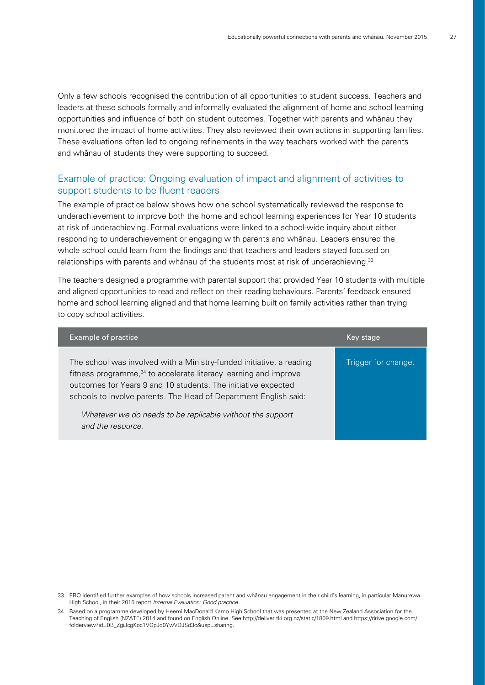Only a few schools recognised the contribution of all opportunities to student success. Teachers and leaders at these schools formally and informally evaluated the alignment of home and school learning opportunities and influence of both on student outcomes. Together with parents and whänau they monitored the impact of home activities. They also reviewed their own actions in supporting families. These evaluations often led to ongoing refinements in the way teachers worked with the parents and whänau of students they were supporting to succeed.

#### Example of practice: Ongoing evaluation of impact and alignment of activities to support students to be fluent readers

The example of practice below shows how one school systematically reviewed the response to underachievement to improve both the home and school learning experiences for Year 10 students at risk of underachieving. Formal evaluations were linked to a school-wide inquiry about either responding to underachievement or engaging with parents and whänau. Leaders ensured the whole school could learn from the findings and that teachers and leaders stayed focused on relationships with parents and whānau of the students most at risk of underachieving.<sup>33</sup>

The teachers designed a programme with parental support that provided Year 10 students with multiple and aligned opportunities to read and reflect on their reading behaviours. Parents' feedback ensured home and school learning aligned and that home learning built on family activities rather than trying to copy school activities.

| Example of practice                                                                                                                                                                                                                                                                                                                                                         | Key stage           |
|-----------------------------------------------------------------------------------------------------------------------------------------------------------------------------------------------------------------------------------------------------------------------------------------------------------------------------------------------------------------------------|---------------------|
| The school was involved with a Ministry-funded initiative, a reading<br>fitness programme, <sup>34</sup> to accelerate literacy learning and improve<br>outcomes for Years 9 and 10 students. The initiative expected<br>schools to involve parents. The Head of Department English said:<br>Whatever we do needs to be replicable without the support<br>and the resource. | Trigger for change. |

<sup>33</sup> ERO identified further examples of how schools increased parent and whänau engagement in their child's learning, in particular Manurewa High School, in their 2015 report Internal Evaluation: Good practice.

<sup>34</sup> Based on a programme developed by Heemi MacDonald Kamo High School that was presented at the New Zealand Association for the Teaching of English (NZATE) 2014 and found on English Online. See http://deliver.tki.org.nz/static/1809.html and https://drive.google.com/ folderview?id=0B\_ZgiJcgKoc1VGpJd0YwVDJSd3c&usp=sharing.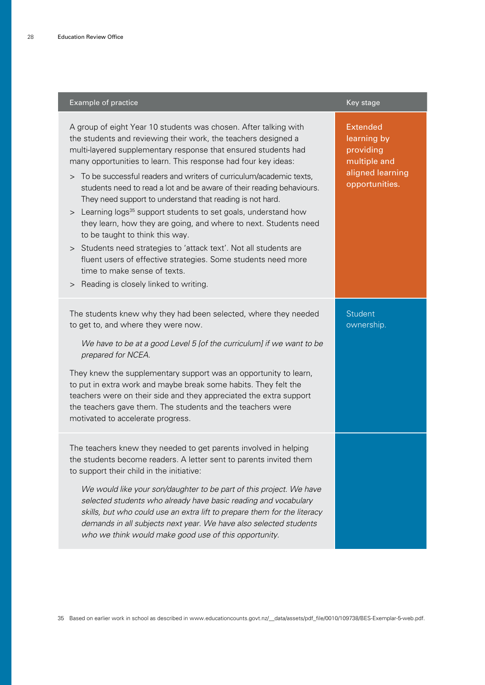| Example of practice                                                                                                                                                                                                                                                                                                                                                                                                                                                                                                                                                                                                                                                                                                                                                                                                                                                                         | Key stage                                                                                         |
|---------------------------------------------------------------------------------------------------------------------------------------------------------------------------------------------------------------------------------------------------------------------------------------------------------------------------------------------------------------------------------------------------------------------------------------------------------------------------------------------------------------------------------------------------------------------------------------------------------------------------------------------------------------------------------------------------------------------------------------------------------------------------------------------------------------------------------------------------------------------------------------------|---------------------------------------------------------------------------------------------------|
| A group of eight Year 10 students was chosen. After talking with<br>the students and reviewing their work, the teachers designed a<br>multi-layered supplementary response that ensured students had<br>many opportunities to learn. This response had four key ideas:<br>> To be successful readers and writers of curriculum/academic texts,<br>students need to read a lot and be aware of their reading behaviours.<br>They need support to understand that reading is not hard.<br>> Learning logs <sup>35</sup> support students to set goals, understand how<br>they learn, how they are going, and where to next. Students need<br>to be taught to think this way.<br>> Students need strategies to 'attack text'. Not all students are<br>fluent users of effective strategies. Some students need more<br>time to make sense of texts.<br>> Reading is closely linked to writing. | <b>Extended</b><br>learning by<br>providing<br>multiple and<br>aligned learning<br>opportunities. |
| The students knew why they had been selected, where they needed<br>to get to, and where they were now.<br>We have to be at a good Level 5 [of the curriculum] if we want to be<br>prepared for NCEA.<br>They knew the supplementary support was an opportunity to learn,<br>to put in extra work and maybe break some habits. They felt the<br>teachers were on their side and they appreciated the extra support<br>the teachers gave them. The students and the teachers were<br>motivated to accelerate progress.                                                                                                                                                                                                                                                                                                                                                                        | <b>Student</b><br>ownership.                                                                      |
| The teachers knew they needed to get parents involved in helping<br>the students become readers. A letter sent to parents invited them<br>to support their child in the initiative:<br>We would like your son/daughter to be part of this project. We have<br>selected students who already have basic reading and vocabulary<br>skills, but who could use an extra lift to prepare them for the literacy<br>demands in all subjects next year. We have also selected students<br>who we think would make good use of this opportunity.                                                                                                                                                                                                                                                                                                                                                     |                                                                                                   |

35 Based on earlier work in school as described in www.educationcounts.govt.nz/\_\_data/assets/pdf\_file/0010/109738/BES-Exemplar-5-web.pdf.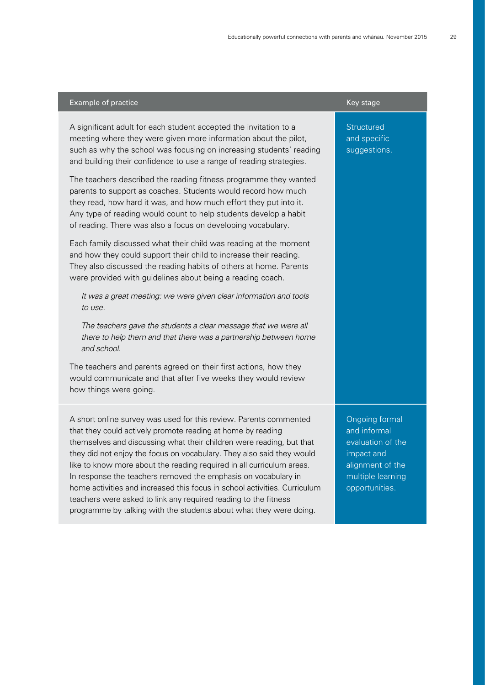| Example of practice                                                                                                                                                                                                                                                                                                                                                                                                                                                                                                                                                                                                                                | Key stage                                                                                                                           |
|----------------------------------------------------------------------------------------------------------------------------------------------------------------------------------------------------------------------------------------------------------------------------------------------------------------------------------------------------------------------------------------------------------------------------------------------------------------------------------------------------------------------------------------------------------------------------------------------------------------------------------------------------|-------------------------------------------------------------------------------------------------------------------------------------|
| A significant adult for each student accepted the invitation to a<br>meeting where they were given more information about the pilot,<br>such as why the school was focusing on increasing students' reading<br>and building their confidence to use a range of reading strategies.                                                                                                                                                                                                                                                                                                                                                                 | Structured<br>and specific<br>suggestions.                                                                                          |
| The teachers described the reading fitness programme they wanted<br>parents to support as coaches. Students would record how much<br>they read, how hard it was, and how much effort they put into it.<br>Any type of reading would count to help students develop a habit<br>of reading. There was also a focus on developing vocabulary.                                                                                                                                                                                                                                                                                                         |                                                                                                                                     |
| Each family discussed what their child was reading at the moment<br>and how they could support their child to increase their reading.<br>They also discussed the reading habits of others at home. Parents<br>were provided with guidelines about being a reading coach.                                                                                                                                                                                                                                                                                                                                                                           |                                                                                                                                     |
| It was a great meeting: we were given clear information and tools<br>to use.                                                                                                                                                                                                                                                                                                                                                                                                                                                                                                                                                                       |                                                                                                                                     |
| The teachers gave the students a clear message that we were all<br>there to help them and that there was a partnership between home<br>and school.                                                                                                                                                                                                                                                                                                                                                                                                                                                                                                 |                                                                                                                                     |
| The teachers and parents agreed on their first actions, how they<br>would communicate and that after five weeks they would review<br>how things were going.                                                                                                                                                                                                                                                                                                                                                                                                                                                                                        |                                                                                                                                     |
| A short online survey was used for this review. Parents commented<br>that they could actively promote reading at home by reading<br>themselves and discussing what their children were reading, but that<br>they did not enjoy the focus on vocabulary. They also said they would<br>like to know more about the reading required in all curriculum areas.<br>In response the teachers removed the emphasis on vocabulary in<br>home activities and increased this focus in school activities. Curriculum<br>teachers were asked to link any required reading to the fitness<br>programme by talking with the students about what they were doing. | <b>Ongoing formal</b><br>and informal<br>evaluation of the<br>impact and<br>alignment of the<br>multiple learning<br>opportunities. |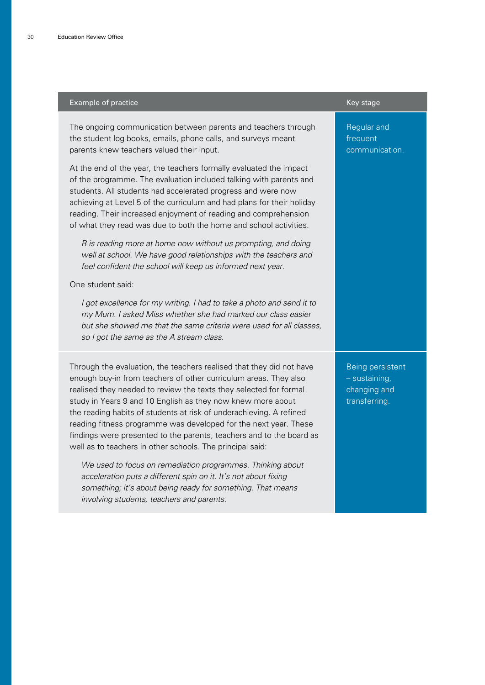#### Example of practice **Key stage** Key stage Key stage Key stage Key stage Key stage The ongoing communication between parents and teachers through the student log books, emails, phone calls, and surveys meant parents knew teachers valued their input. At the end of the year, the teachers formally evaluated the impact of the programme. The evaluation included talking with parents and students. All students had accelerated progress and were now achieving at Level 5 of the curriculum and had plans for their holiday reading. Their increased enjoyment of reading and comprehension of what they read was due to both the home and school activities. R is reading more at home now without us prompting, and doing well at school. We have good relationships with the teachers and feel confident the school will keep us informed next year. One student said: I got excellence for my writing. I had to take a photo and send it to my Mum. I asked Miss whether she had marked our class easier but she showed me that the same criteria were used for all classes, so I got the same as the A stream class. Regular and frequent communication. Through the evaluation, the teachers realised that they did not have enough buy-in from teachers of other curriculum areas. They also realised they needed to review the texts they selected for formal study in Years 9 and 10 English as they now knew more about the reading habits of students at risk of underachieving. A refined reading fitness programme was developed for the next year. These findings were presented to the parents, teachers and to the board as well as to teachers in other schools. The principal said: We used to focus on remediation programmes. Thinking about acceleration puts a different spin on it. It's not about fixing something; it's about being ready for something. That means involving students, teachers and parents. Being persistent – sustaining, changing and transferring.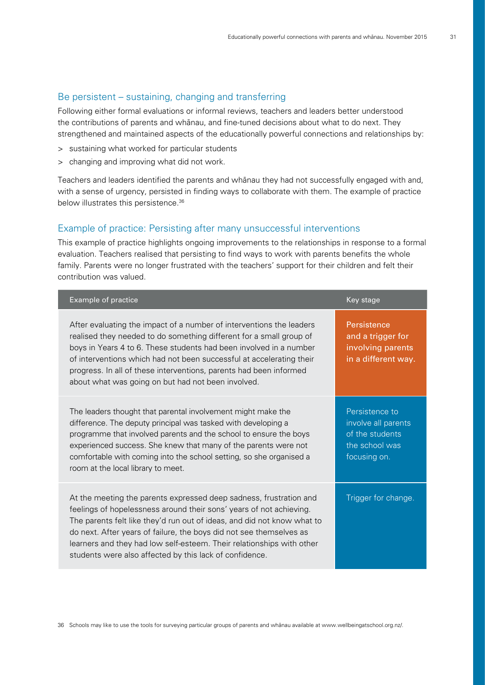#### Be persistent – sustaining, changing and transferring

Following either formal evaluations or informal reviews, teachers and leaders better understood the contributions of parents and whänau, and fine-tuned decisions about what to do next. They strengthened and maintained aspects of the educationally powerful connections and relationships by:

- > sustaining what worked for particular students
- > changing and improving what did not work.

Teachers and leaders identified the parents and whänau they had not successfully engaged with and, with a sense of urgency, persisted in finding ways to collaborate with them. The example of practice below illustrates this persistence.<sup>36</sup>

#### Example of practice: Persisting after many unsuccessful interventions

This example of practice highlights ongoing improvements to the relationships in response to a formal evaluation. Teachers realised that persisting to find ways to work with parents benefits the whole family. Parents were no longer frustrated with the teachers' support for their children and felt their contribution was valued.

| Example of practice                                                                                                                                                                                                                                                                                                                                                                                                             | Key stage                                                                                  |
|---------------------------------------------------------------------------------------------------------------------------------------------------------------------------------------------------------------------------------------------------------------------------------------------------------------------------------------------------------------------------------------------------------------------------------|--------------------------------------------------------------------------------------------|
| After evaluating the impact of a number of interventions the leaders<br>realised they needed to do something different for a small group of<br>boys in Years 4 to 6. These students had been involved in a number<br>of interventions which had not been successful at accelerating their<br>progress. In all of these interventions, parents had been informed<br>about what was going on but had not been involved.           | Persistence<br>and a trigger for<br>involving parents<br>in a different way.               |
| The leaders thought that parental involvement might make the<br>difference. The deputy principal was tasked with developing a<br>programme that involved parents and the school to ensure the boys<br>experienced success. She knew that many of the parents were not<br>comfortable with coming into the school setting, so she organised a<br>room at the local library to meet.                                              | Persistence to<br>involve all parents<br>of the students<br>the school was<br>focusing on. |
| At the meeting the parents expressed deep sadness, frustration and<br>feelings of hopelessness around their sons' years of not achieving.<br>The parents felt like they'd run out of ideas, and did not know what to<br>do next. After years of failure, the boys did not see themselves as<br>learners and they had low self-esteem. Their relationships with other<br>students were also affected by this lack of confidence. | Trigger for change.                                                                        |

36 Schools may like to use the tools for surveying particular groups of parents and whänau available at [www.wellbeingatschool.org.nz/](http://www.wellbeingatschool.org.nz/).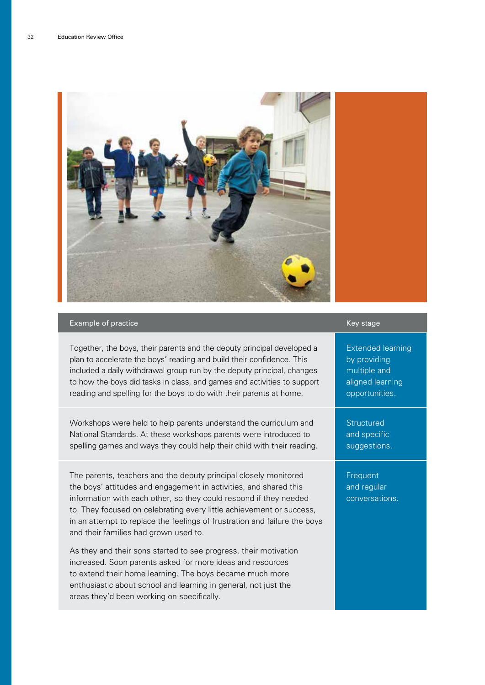

#### Example of practice Key stage Key stage Key stage Key stage Key stage Key stage

Together, the boys, their parents and the deputy principal developed a plan to accelerate the boys' reading and build their confidence. This included a daily withdrawal group run by the deputy principal, changes to how the boys did tasks in class, and games and activities to support reading and spelling for the boys to do with their parents at home.

Workshops were held to help parents understand the curriculum and National Standards. At these workshops parents were introduced to spelling games and ways they could help their child with their reading.

The parents, teachers and the deputy principal closely monitored the boys' attitudes and engagement in activities, and shared this information with each other, so they could respond if they needed to. They focused on celebrating every little achievement or success, in an attempt to replace the feelings of frustration and failure the boys and their families had grown used to.

As they and their sons started to see progress, their motivation increased. Soon parents asked for more ideas and resources to extend their home learning. The boys became much more enthusiastic about school and learning in general, not just the areas they'd been working on specifically.

Extended learning by providing multiple and aligned learning opportunities.

**Structured** and specific suggestions.

Frequent and regular conversations.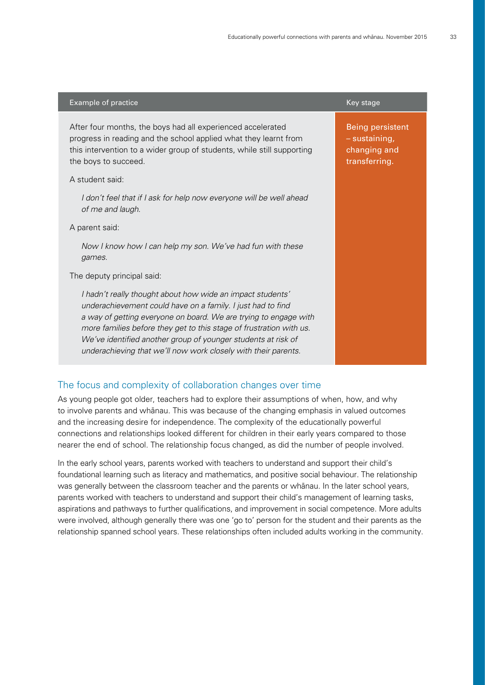| Example of practice                                                                                                                                                                                                                                                                                                                                                                                     | Key stage                                                                 |
|---------------------------------------------------------------------------------------------------------------------------------------------------------------------------------------------------------------------------------------------------------------------------------------------------------------------------------------------------------------------------------------------------------|---------------------------------------------------------------------------|
| After four months, the boys had all experienced accelerated<br>progress in reading and the school applied what they learnt from<br>this intervention to a wider group of students, while still supporting<br>the boys to succeed.                                                                                                                                                                       | <b>Being persistent</b><br>- sustaining,<br>changing and<br>transferring. |
| A student said:                                                                                                                                                                                                                                                                                                                                                                                         |                                                                           |
| I don't feel that if I ask for help now everyone will be well ahead<br>of me and laugh.                                                                                                                                                                                                                                                                                                                 |                                                                           |
| A parent said:                                                                                                                                                                                                                                                                                                                                                                                          |                                                                           |
| Now I know how I can help my son. We've had fun with these<br>games.                                                                                                                                                                                                                                                                                                                                    |                                                                           |
| The deputy principal said:                                                                                                                                                                                                                                                                                                                                                                              |                                                                           |
| I hadn't really thought about how wide an impact students'<br>underachievement could have on a family. I just had to find<br>a way of getting everyone on board. We are trying to engage with<br>more families before they get to this stage of frustration with us.<br>We've identified another group of younger students at risk of<br>underachieving that we'll now work closely with their parents. |                                                                           |

#### The focus and complexity of collaboration changes over time

As young people got older, teachers had to explore their assumptions of when, how, and why to involve parents and whänau. This was because of the changing emphasis in valued outcomes and the increasing desire for independence. The complexity of the educationally powerful connections and relationships looked different for children in their early years compared to those nearer the end of school. The relationship focus changed, as did the number of people involved.

In the early school years, parents worked with teachers to understand and support their child's foundational learning such as literacy and mathematics, and positive social behaviour. The relationship was generally between the classroom teacher and the parents or whänau. In the later school years, parents worked with teachers to understand and support their child's management of learning tasks, aspirations and pathways to further qualifications, and improvement in social competence. More adults were involved, although generally there was one 'go to' person for the student and their parents as the relationship spanned school years. These relationships often included adults working in the community.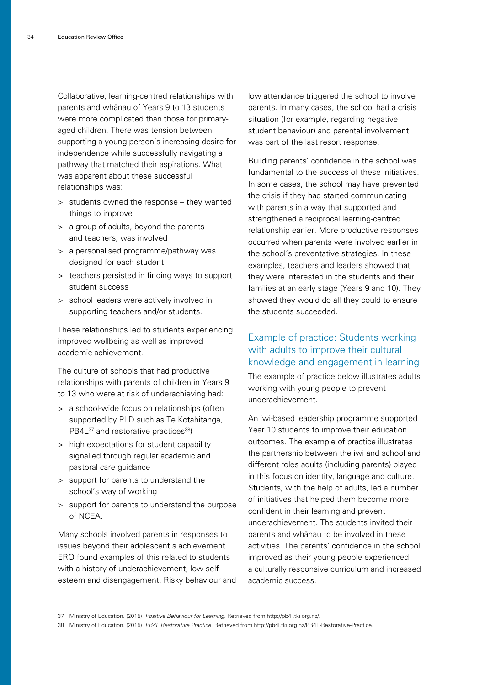Collaborative, learning-centred relationships with parents and whänau of Years 9 to 13 students were more complicated than those for primaryaged children. There was tension between supporting a young person's increasing desire for independence while successfully navigating a pathway that matched their aspirations. What was apparent about these successful relationships was:

- > students owned the response they wanted things to improve
- > a group of adults, beyond the parents and teachers, was involved
- > a personalised programme/pathway was designed for each student
- > teachers persisted in finding ways to support student success
- > school leaders were actively involved in supporting teachers and/or students.

These relationships led to students experiencing improved wellbeing as well as improved academic achievement.

The culture of schools that had productive relationships with parents of children in Years 9 to 13 who were at risk of underachieving had:

- > a school-wide focus on relationships (often supported by PLD such as Te Kotahitanga, PB4L<sup>37</sup> and restorative practices<sup>38</sup>)
- > high expectations for student capability signalled through regular academic and pastoral care guidance
- > support for parents to understand the school's way of working
- > support for parents to understand the purpose of NCEA.

Many schools involved parents in responses to issues beyond their adolescent's achievement. ERO found examples of this related to students with a history of underachievement, low selfesteem and disengagement. Risky behaviour and

low attendance triggered the school to involve parents. In many cases, the school had a crisis situation (for example, regarding negative student behaviour) and parental involvement was part of the last resort response.

Building parents' confidence in the school was fundamental to the success of these initiatives. In some cases, the school may have prevented the crisis if they had started communicating with parents in a way that supported and strengthened a reciprocal learning-centred relationship earlier. More productive responses occurred when parents were involved earlier in the school's preventative strategies. In these examples, teachers and leaders showed that they were interested in the students and their families at an early stage (Years 9 and 10). They showed they would do all they could to ensure the students succeeded.

#### Example of practice: Students working with adults to improve their cultural knowledge and engagement in learning

The example of practice below illustrates adults working with young people to prevent underachievement.

An iwi-based leadership programme supported Year 10 students to improve their education outcomes. The example of practice illustrates the partnership between the iwi and school and different roles adults (including parents) played in this focus on identity, language and culture. Students, with the help of adults, led a number of initiatives that helped them become more confident in their learning and prevent underachievement. The students invited their parents and whänau to be involved in these activities. The parents' confidence in the school improved as their young people experienced a culturally responsive curriculum and increased academic success.

<sup>37</sup> Ministry of Education. (2015). Positive Behaviour for Learning. Retrieved from http://pb4l.tki.org.nz/.

<sup>38</sup> Ministry of Education. (2015). PB4L Restorative Practice. Retrieved from http://pb4l.tki.org.nz/PB4L-Restorative-Practice.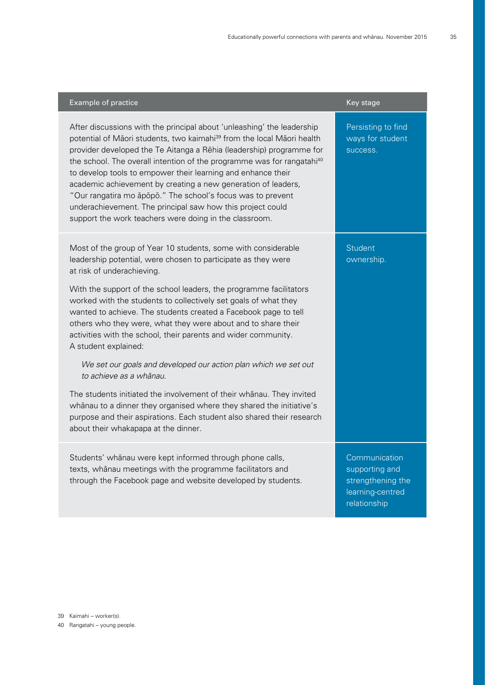| Example of practice                                                                                                                                                                                                                                                                                                                                                                                                                                                                                                                                                                                                                                                                                                                                                                                                                                                                                 | Key stage                                                                                |
|-----------------------------------------------------------------------------------------------------------------------------------------------------------------------------------------------------------------------------------------------------------------------------------------------------------------------------------------------------------------------------------------------------------------------------------------------------------------------------------------------------------------------------------------------------------------------------------------------------------------------------------------------------------------------------------------------------------------------------------------------------------------------------------------------------------------------------------------------------------------------------------------------------|------------------------------------------------------------------------------------------|
| After discussions with the principal about 'unleashing' the leadership<br>potential of Māori students, two kaimahi <sup>39</sup> from the local Māori health<br>provider developed the Te Aitanga a Rēhia (leadership) programme for<br>the school. The overall intention of the programme was for rangatahi <sup>40</sup><br>to develop tools to empower their learning and enhance their<br>academic achievement by creating a new generation of leaders,<br>"Our rangatira mo āpōpō." The school's focus was to prevent<br>underachievement. The principal saw how this project could<br>support the work teachers were doing in the classroom.                                                                                                                                                                                                                                                  | Persisting to find<br>ways for student<br>success.                                       |
| Most of the group of Year 10 students, some with considerable<br>leadership potential, were chosen to participate as they were<br>at risk of underachieving.<br>With the support of the school leaders, the programme facilitators<br>worked with the students to collectively set goals of what they<br>wanted to achieve. The students created a Facebook page to tell<br>others who they were, what they were about and to share their<br>activities with the school, their parents and wider community.<br>A student explained:<br>We set our goals and developed our action plan which we set out<br>to achieve as a whānau.<br>The students initiated the involvement of their whanau. They invited<br>whanau to a dinner they organised where they shared the initiative's<br>purpose and their aspirations. Each student also shared their research<br>about their whakapapa at the dinner. | Student<br>ownership.                                                                    |
| Students' whānau were kept informed through phone calls,<br>texts, whānau meetings with the programme facilitators and<br>through the Facebook page and website developed by students.                                                                                                                                                                                                                                                                                                                                                                                                                                                                                                                                                                                                                                                                                                              | Communication<br>supporting and<br>strengthening the<br>learning-centred<br>relationship |

- 39 Kaimahi worker(s).
- 40 Rangatahi young people.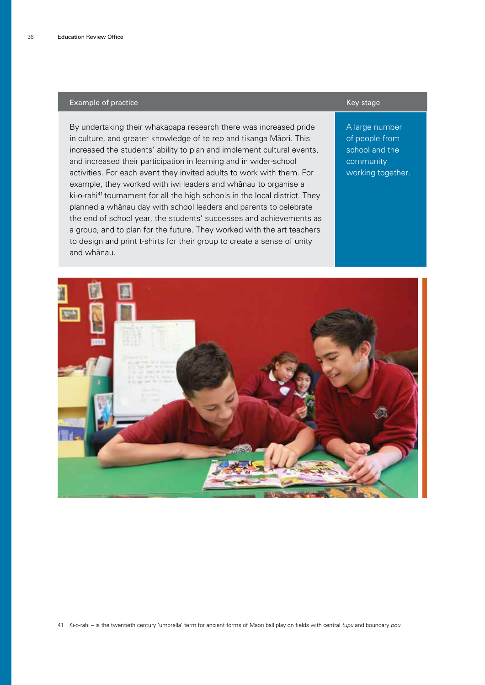#### Example of practice Key stage Key stage Key stage Key stage Key stage Key stage

By undertaking their whakapapa research there was increased pride in culture, and greater knowledge of te reo and tikanga Mäori. This increased the students' ability to plan and implement cultural events, and increased their participation in learning and in wider-school activities. For each event they invited adults to work with them. For example, they worked with iwi leaders and whänau to organise a ki-o-rahi<sup>41</sup> tournament for all the high schools in the local district. They planned a whänau day with school leaders and parents to celebrate the end of school year, the students' successes and achievements as a group, and to plan for the future. They worked with the art teachers to design and print t-shirts for their group to create a sense of unity and whänau.

A large number of people from school and the community working together.



41 Ki-o-rahi – is the twentieth century 'umbrella' term for ancient forms of Maori ball play on fields with central tupu and boundary pou.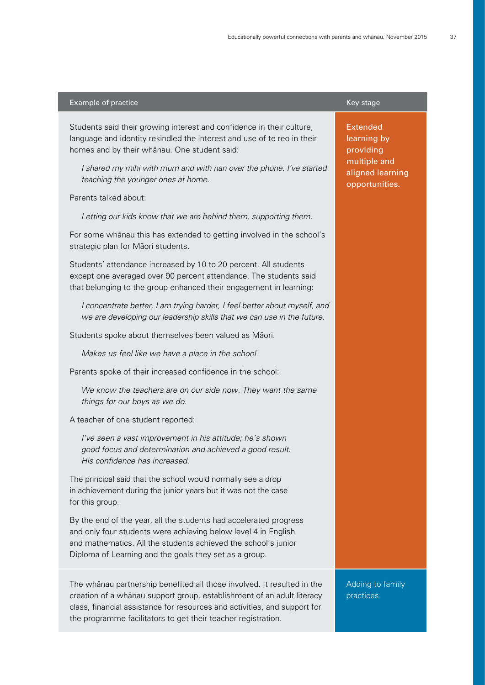#### Example of practice **Key stage Controller Controller Controller Controller Controller Controller Controller Controller Controller Controller Controller Controller Controller Controller Controller Controller Controller Cont**

Students said their growing interest and confidence in their culture, language and identity rekindled the interest and use of te reo in their homes and by their whänau. One student said:

I shared my mihi with mum and with nan over the phone. I've started teaching the younger ones at home.

#### Parents talked about:

Letting our kids know that we are behind them, supporting them.

For some whänau this has extended to getting involved in the school's strategic plan for Mäori students.

Students' attendance increased by 10 to 20 percent. All students except one averaged over 90 percent attendance. The students said that belonging to the group enhanced their engagement in learning:

I concentrate better, I am trying harder, I feel better about myself, and we are developing our leadership skills that we can use in the future.

Students spoke about themselves been valued as Mäori.

Makes us feel like we have a place in the school.

Parents spoke of their increased confidence in the school:

We know the teachers are on our side now. They want the same things for our boys as we do.

#### A teacher of one student reported:

I've seen a vast improvement in his attitude; he's shown good focus and determination and achieved a good result. His confidence has increased.

The principal said that the school would normally see a drop in achievement during the junior years but it was not the case for this group.

By the end of the year, all the students had accelerated progress and only four students were achieving below level 4 in English and mathematics. All the students achieved the school's junior Diploma of Learning and the goals they set as a group.

The whänau partnership benefited all those involved. It resulted in the creation of a whänau support group, establishment of an adult literacy class, financial assistance for resources and activities, and support for the programme facilitators to get their teacher registration.

Extended learning by providing multiple and aligned learning opportunities.

Adding to family practices.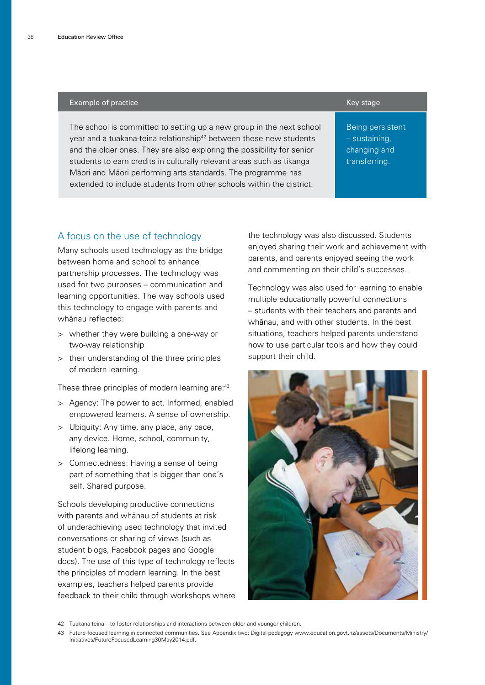#### Example of practice **Key stage Controller Controller Controller** Key stage Key stage

The school is committed to setting up a new group in the next school year and a tuakana-teina relationship<sup>42</sup> between these new students and the older ones. They are also exploring the possibility for senior students to earn credits in culturally relevant areas such as tikanga Mäori and Mäori performing arts standards. The programme has extended to include students from other schools within the district.

Being persistent – sustaining, changing and transferring.

#### A focus on the use of technology

Many schools used technology as the bridge between home and school to enhance partnership processes. The technology was used for two purposes – communication and learning opportunities. The way schools used this technology to engage with parents and whänau reflected:

- > whether they were building a one-way or two-way relationship
- > their understanding of the three principles of modern learning.

These three principles of modern learning are:<sup>43</sup>

- > Agency: The power to act. Informed, enabled empowered learners. A sense of ownership.
- > Ubiquity: Any time, any place, any pace, any device. Home, school, community, lifelong learning.
- > Connectedness: Having a sense of being part of something that is bigger than one's self. Shared purpose.

Schools developing productive connections with parents and whänau of students at risk of underachieving used technology that invited conversations or sharing of views (such as student blogs, Facebook pages and Google docs). The use of this type of technology reflects the principles of modern learning. In the best examples, teachers helped parents provide feedback to their child through workshops where the technology was also discussed. Students enjoyed sharing their work and achievement with parents, and parents enjoyed seeing the work and commenting on their child's successes.

Technology was also used for learning to enable multiple educationally powerful connections – students with their teachers and parents and whänau, and with other students. In the best situations, teachers helped parents understand how to use particular tools and how they could support their child.



42 Tuakana teina – to foster relationships and interactions between older and younger children.

<sup>43</sup> Future-focused learning in connected communities. See Appendix two: Digital pedagogy www.education.govt.nz/assets/Documents/Ministry/ Initiatives/FutureFocusedLearning30May2014.pdf.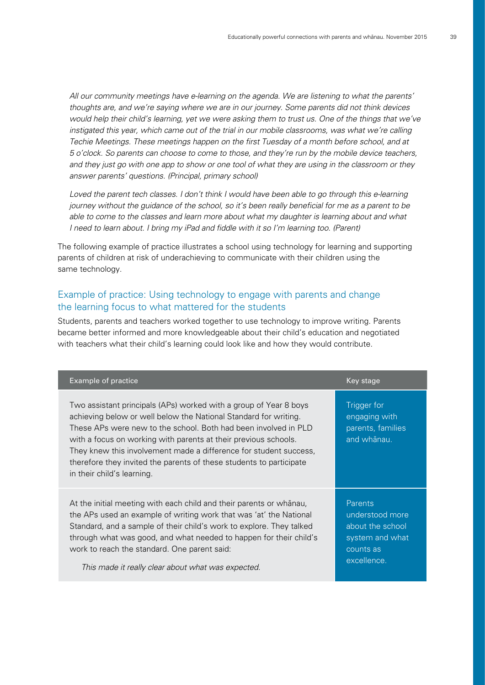All our community meetings have e-learning on the agenda. We are listening to what the parents' thoughts are, and we're saying where we are in our journey. Some parents did not think devices would help their child's learning, yet we were asking them to trust us. One of the things that we've instigated this year, which came out of the trial in our mobile classrooms, was what we're calling Techie Meetings. These meetings happen on the first Tuesday of a month before school, and at 5 o'clock. So parents can choose to come to those, and they're run by the mobile device teachers, and they just go with one app to show or one tool of what they are using in the classroom or they answer parents' questions. (Principal, primary school)

Loved the parent tech classes. I don't think I would have been able to go through this e-learning journey without the guidance of the school, so it's been really beneficial for me as a parent to be able to come to the classes and learn more about what my daughter is learning about and what I need to learn about. I bring my iPad and fiddle with it so I'm learning too. (Parent)

The following example of practice illustrates a school using technology for learning and supporting parents of children at risk of underachieving to communicate with their children using the same technology.

#### Example of practice: Using technology to engage with parents and change the learning focus to what mattered for the students

Students, parents and teachers worked together to use technology to improve writing. Parents became better informed and more knowledgeable about their child's education and negotiated with teachers what their child's learning could look like and how they would contribute.

| Example of practice                                                                                                                                                                                                                                                                                                                                                                                                                                   | Key stage                                                                                     |
|-------------------------------------------------------------------------------------------------------------------------------------------------------------------------------------------------------------------------------------------------------------------------------------------------------------------------------------------------------------------------------------------------------------------------------------------------------|-----------------------------------------------------------------------------------------------|
| Two assistant principals (APs) worked with a group of Year 8 boys<br>achieving below or well below the National Standard for writing.<br>These APs were new to the school. Both had been involved in PLD<br>with a focus on working with parents at their previous schools.<br>They knew this involvement made a difference for student success,<br>therefore they invited the parents of these students to participate<br>in their child's learning. | Trigger for<br>engaging with<br>parents, families<br>and whānau.                              |
| At the initial meeting with each child and their parents or whanau,<br>the APs used an example of writing work that was 'at' the National<br>Standard, and a sample of their child's work to explore. They talked<br>through what was good, and what needed to happen for their child's<br>work to reach the standard. One parent said:<br>This made it really clear about what was expected.                                                         | Parents<br>understood more<br>about the school<br>system and what<br>counts as<br>excellence. |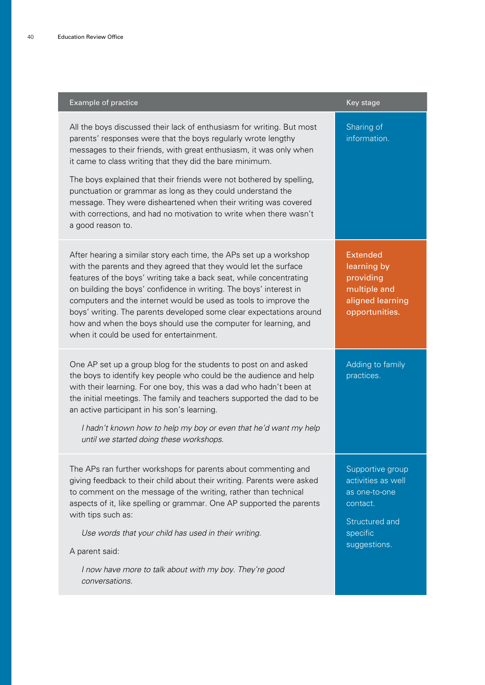| Example of practice                                                                                                                                                                                                                                                                                                                                                                                                                                                                                                                                                          | Key stage                                                                                                         |
|------------------------------------------------------------------------------------------------------------------------------------------------------------------------------------------------------------------------------------------------------------------------------------------------------------------------------------------------------------------------------------------------------------------------------------------------------------------------------------------------------------------------------------------------------------------------------|-------------------------------------------------------------------------------------------------------------------|
| All the boys discussed their lack of enthusiasm for writing. But most<br>parents' responses were that the boys regularly wrote lengthy<br>messages to their friends, with great enthusiasm, it was only when<br>it came to class writing that they did the bare minimum.<br>The boys explained that their friends were not bothered by spelling,<br>punctuation or grammar as long as they could understand the<br>message. They were disheartened when their writing was covered<br>with corrections, and had no motivation to write when there wasn't<br>a good reason to. | Sharing of<br>information.                                                                                        |
| After hearing a similar story each time, the APs set up a workshop<br>with the parents and they agreed that they would let the surface<br>features of the boys' writing take a back seat, while concentrating<br>on building the boys' confidence in writing. The boys' interest in<br>computers and the internet would be used as tools to improve the<br>boys' writing. The parents developed some clear expectations around<br>how and when the boys should use the computer for learning, and<br>when it could be used for entertainment.                                | <b>Extended</b><br>learning by<br>providing<br>multiple and<br>aligned learning<br>opportunities.                 |
| One AP set up a group blog for the students to post on and asked<br>the boys to identify key people who could be the audience and help<br>with their learning. For one boy, this was a dad who hadn't been at<br>the initial meetings. The family and teachers supported the dad to be<br>an active participant in his son's learning.<br>I hadn't known how to help my boy or even that he'd want my help<br>until we started doing these workshops.                                                                                                                        | Adding to family<br>practices.                                                                                    |
| The APs ran further workshops for parents about commenting and<br>giving feedback to their child about their writing. Parents were asked<br>to comment on the message of the writing, rather than technical<br>aspects of it, like spelling or grammar. One AP supported the parents<br>with tips such as:<br>Use words that your child has used in their writing.<br>A parent said:<br>I now have more to talk about with my boy. They're good<br>conversations.                                                                                                            | Supportive group<br>activities as well<br>as one-to-one<br>contact.<br>Structured and<br>specific<br>suggestions. |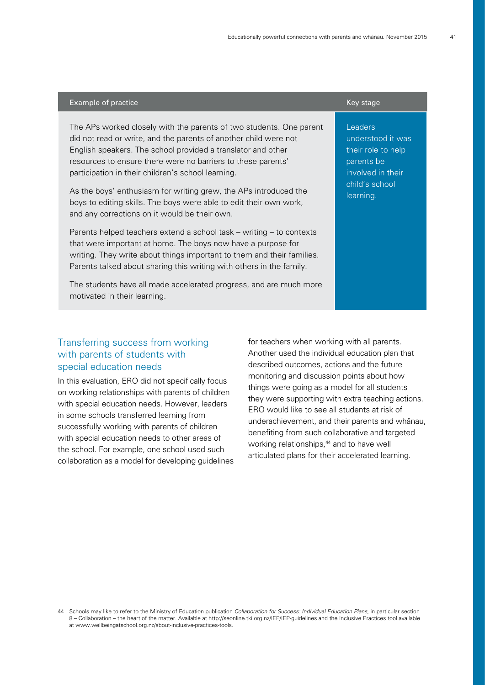#### Example of practice **Key stage Controller Controller Controller** Key stage Key stage

The APs worked closely with the parents of two students. One parent did not read or write, and the parents of another child were not English speakers. The school provided a translator and other resources to ensure there were no barriers to these parents' participation in their children's school learning.

As the boys' enthusiasm for writing grew, the APs introduced the boys to editing skills. The boys were able to edit their own work, and any corrections on it would be their own.

Parents helped teachers extend a school task – writing – to contexts that were important at home. The boys now have a purpose for writing. They write about things important to them and their families. Parents talked about sharing this writing with others in the family.

The students have all made accelerated progress, and are much more motivated in their learning.

#### **Leaders** understood it was their role to help parents be involved in their child's school learning.

#### Transferring success from working with parents of students with special education needs

In this evaluation, ERO did not specifically focus on working relationships with parents of children with special education needs. However, leaders in some schools transferred learning from successfully working with parents of children with special education needs to other areas of the school. For example, one school used such collaboration as a model for developing guidelines for teachers when working with all parents. Another used the individual education plan that described outcomes, actions and the future monitoring and discussion points about how things were going as a model for all students they were supporting with extra teaching actions. ERO would like to see all students at risk of underachievement, and their parents and whänau, benefiting from such collaborative and targeted working relationships,<sup>44</sup> and to have well articulated plans for their accelerated learning.

<sup>44</sup> Schools may like to refer to the Ministry of Education publication [Collaboration for Success: Individual Education Plans](http://seonline.tki.org.nz/IEP/IEP-guidelines), in particular section 8 – Collaboration – the heart of the matter. Available at<http://seonline.tki.org.nz/IEP/IEP-guidelines> and the Inclusive Practices tool available at [www.wellbeingatschool.org.nz/about-inclusive-practices-tools.](http://www.wellbeingatschool.org.nz/about-inclusive-practices-tools)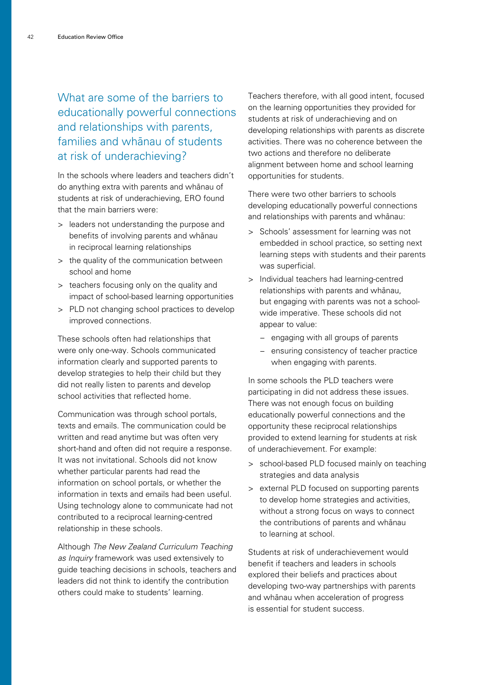What are some of the barriers to educationally powerful connections and relationships with parents, families and whänau of students at risk of underachieving?

In the schools where leaders and teachers didn't do anything extra with parents and whänau of students at risk of underachieving, ERO found that the main barriers were:

- > leaders not understanding the purpose and benefits of involving parents and whänau in reciprocal learning relationships
- > the quality of the communication between school and home
- > teachers focusing only on the quality and impact of school-based learning opportunities
- > PLD not changing school practices to develop improved connections.

These schools often had relationships that were only one-way. Schools communicated information clearly and supported parents to develop strategies to help their child but they did not really listen to parents and develop school activities that reflected home.

Communication was through school portals, texts and emails. The communication could be written and read anytime but was often very short-hand and often did not require a response. It was not invitational. Schools did not know whether particular parents had read the information on school portals, or whether the information in texts and emails had been useful. Using technology alone to communicate had not contributed to a reciprocal learning-centred relationship in these schools.

Although The New Zealand Curriculum Teaching as Inquiry framework was used extensively to guide teaching decisions in schools, teachers and leaders did not think to identify the contribution others could make to students' learning.

Teachers therefore, with all good intent, focused on the learning opportunities they provided for students at risk of underachieving and on developing relationships with parents as discrete activities. There was no coherence between the two actions and therefore no deliberate alignment between home and school learning opportunities for students.

There were two other barriers to schools developing educationally powerful connections and relationships with parents and whänau:

- > Schools' assessment for learning was not embedded in school practice, so setting next learning steps with students and their parents was superficial.
- > Individual teachers had learning-centred relationships with parents and whänau, but engaging with parents was not a schoolwide imperative. These schools did not appear to value:
	- − engaging with all groups of parents
	- − ensuring consistency of teacher practice when engaging with parents.

In some schools the PLD teachers were participating in did not address these issues. There was not enough focus on building educationally powerful connections and the opportunity these reciprocal relationships provided to extend learning for students at risk of underachievement. For example:

- > school-based PLD focused mainly on teaching strategies and data analysis
- > external PLD focused on supporting parents to develop home strategies and activities, without a strong focus on ways to connect the contributions of parents and whänau to learning at school.

Students at risk of underachievement would benefit if teachers and leaders in schools explored their beliefs and practices about developing two-way partnerships with parents and whänau when acceleration of progress is essential for student success.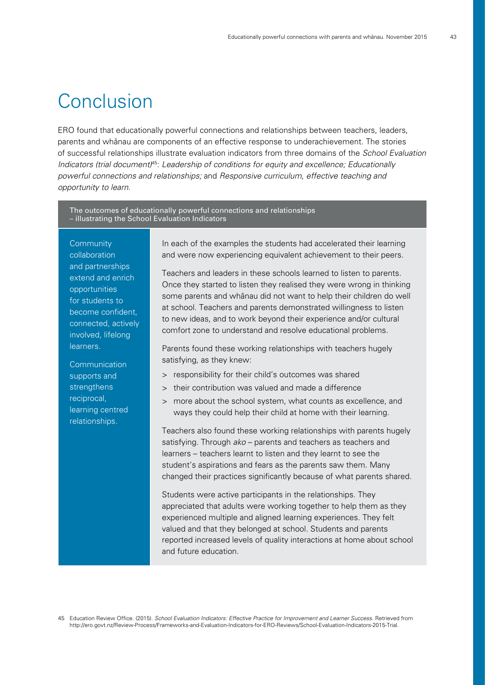## Conclusion

ERO found that educationally powerful connections and relationships between teachers, leaders, parents and whänau are components of an effective response to underachievement. The stories of successful relationships illustrate evaluation indicators from three domains of the School Evaluation Indicators (trial document)<sup>45</sup>: Leadership of conditions for equity and excellence; Educationally powerful connections and relationships; and Responsive curriculum, effective teaching and opportunity to learn.

The outcomes of educationally powerful connections and relationships – illustrating the School Evaluation Indicators

**Community** collaboration and partnerships extend and enrich opportunities for students to become confident, connected, actively involved, lifelong learners.

**Communication** supports and strengthens reciprocal, learning centred relationships.

In each of the examples the students had accelerated their learning and were now experiencing equivalent achievement to their peers.

Teachers and leaders in these schools learned to listen to parents. Once they started to listen they realised they were wrong in thinking some parents and whänau did not want to help their children do well at school. Teachers and parents demonstrated willingness to listen to new ideas, and to work beyond their experience and/or cultural comfort zone to understand and resolve educational problems.

Parents found these working relationships with teachers hugely satisfying, as they knew:

- > responsibility for their child's outcomes was shared
- > their contribution was valued and made a difference
- > more about the school system, what counts as excellence, and ways they could help their child at home with their learning.

Teachers also found these working relationships with parents hugely satisfying. Through ako – parents and teachers as teachers and learners – teachers learnt to listen and they learnt to see the student's aspirations and fears as the parents saw them. Many changed their practices significantly because of what parents shared.

Students were active participants in the relationships. They appreciated that adults were working together to help them as they experienced multiple and aligned learning experiences. They felt valued and that they belonged at school. Students and parents reported increased levels of quality interactions at home about school and future education.

45 Education Review Office. (2015). School Evaluation Indicators: Effective Practice for Improvement and Learner Success. Retrieved from http://ero.govt.nz/Review-Process/Frameworks-and-Evaluation-Indicators-for-ERO-Reviews/School-Evaluation-Indicators-2015-Trial.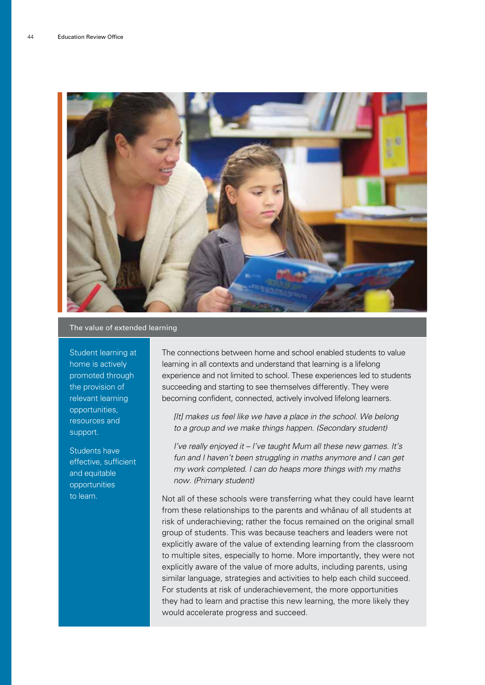

#### The value of extended learning

Student learning at home is actively promoted through the provision of relevant learning opportunities, resources and support.

Students have effective, sufficient and equitable opportunities to learn.

The connections between home and school enabled students to value learning in all contexts and understand that learning is a lifelong experience and not limited to school. These experiences led to students succeeding and starting to see themselves differently. They were becoming confident, connected, actively involved lifelong learners.

[It] makes us feel like we have a place in the school. We belong to a group and we make things happen. (Secondary student)

I've really enjoyed it – I've taught Mum all these new games. It's fun and I haven't been struggling in maths anymore and I can get my work completed. I can do heaps more things with my maths now. (Primary student)

Not all of these schools were transferring what they could have learnt from these relationships to the parents and whänau of all students at risk of underachieving; rather the focus remained on the original small group of students. This was because teachers and leaders were not explicitly aware of the value of extending learning from the classroom to multiple sites, especially to home. More importantly, they were not explicitly aware of the value of more adults, including parents, using similar language, strategies and activities to help each child succeed. For students at risk of underachievement, the more opportunities they had to learn and practise this new learning, the more likely they would accelerate progress and succeed.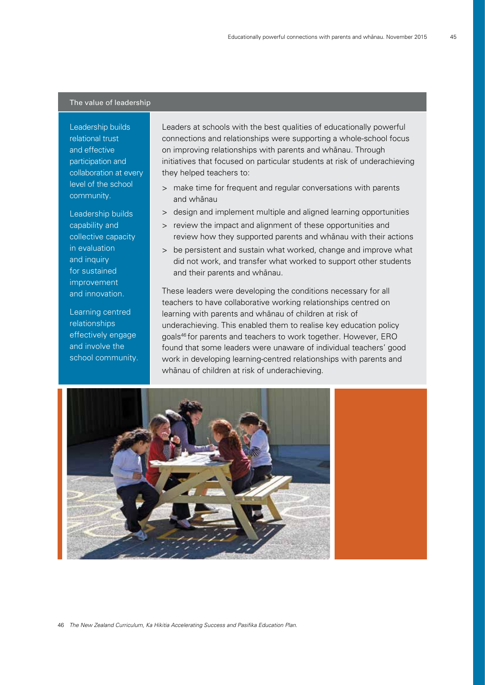#### The value of leadership

Leadership builds relational trust and effective participation and collaboration at every level of the school community.

Leadership builds capability and collective capacity in evaluation and inquiry for sustained improvement and innovation.

Learning centred relationships effectively engage and involve the school community. Leaders at schools with the best qualities of educationally powerful connections and relationships were supporting a whole-school focus on improving relationships with parents and whänau. Through initiatives that focused on particular students at risk of underachieving they helped teachers to:

- > make time for frequent and regular conversations with parents and whänau
- > design and implement multiple and aligned learning opportunities
- > review the impact and alignment of these opportunities and review how they supported parents and whänau with their actions
- > be persistent and sustain what worked, change and improve what did not work, and transfer what worked to support other students and their parents and whänau.

These leaders were developing the conditions necessary for all teachers to have collaborative working relationships centred on learning with parents and whänau of children at risk of underachieving. This enabled them to realise key education policy goals46 for parents and teachers to work together. However, ERO found that some leaders were unaware of individual teachers' good work in developing learning-centred relationships with parents and whänau of children at risk of underachieving.

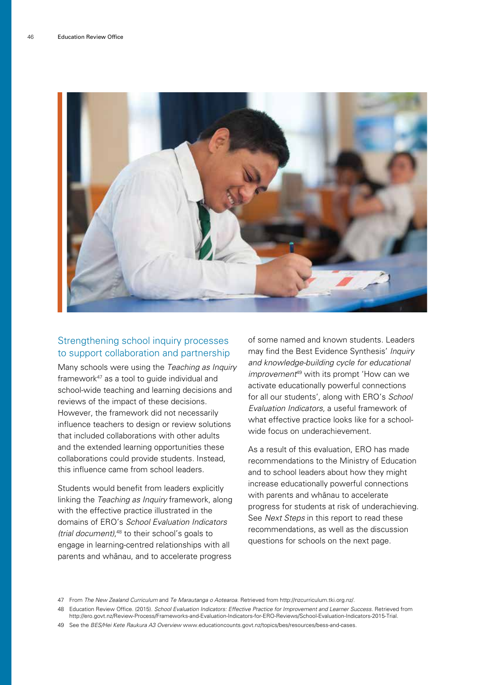

#### Strengthening school inquiry processes to support collaboration and partnership

Many schools were using the Teaching as Inquiry framework47 as a tool to guide individual and school-wide teaching and learning decisions and reviews of the impact of these decisions. However, the framework did not necessarily influence teachers to design or review solutions that included collaborations with other adults and the extended learning opportunities these collaborations could provide students. Instead, this influence came from school leaders.

Students would benefit from leaders explicitly linking the Teaching as Inquiry framework, along with the effective practice illustrated in the domains of ERO's School Evaluation Indicators (trial document), 48 to their school's goals to engage in learning-centred relationships with all parents and whänau, and to accelerate progress

of some named and known students. Leaders may find the Best Evidence Synthesis' Inquiry and knowledge-building cycle for educational improvement<sup>49</sup> with its prompt 'How can we activate educationally powerful connections for all our students', along with ERO's School Evaluation Indicators, a useful framework of what effective practice looks like for a schoolwide focus on underachievement.

As a result of this evaluation, ERO has made recommendations to the Ministry of Education and to school leaders about how they might increase educationally powerful connections with parents and whänau to accelerate progress for students at risk of underachieving. See Next Steps in this report to read these recommendations, as well as the discussion questions for schools on the next page.

<sup>47</sup> From The New Zealand Curriculum and Te Marautanga o Aotearoa. Retrieved from http://nzcurriculum.tki.org.nz/.

<sup>48</sup> Education Review Office. (2015). School Evaluation Indicators: Effective Practice for Improvement and Learner Success. Retrieved from http://ero.govt.nz/Review-Process/Frameworks-and-Evaluation-Indicators-for-ERO-Reviews/School-Evaluation-Indicators-2015-Trial.

<sup>49</sup> See the BES/Hei Kete Raukura A3 Overview www.educationcounts.govt.nz/topics/bes/resources/bess-and-cases.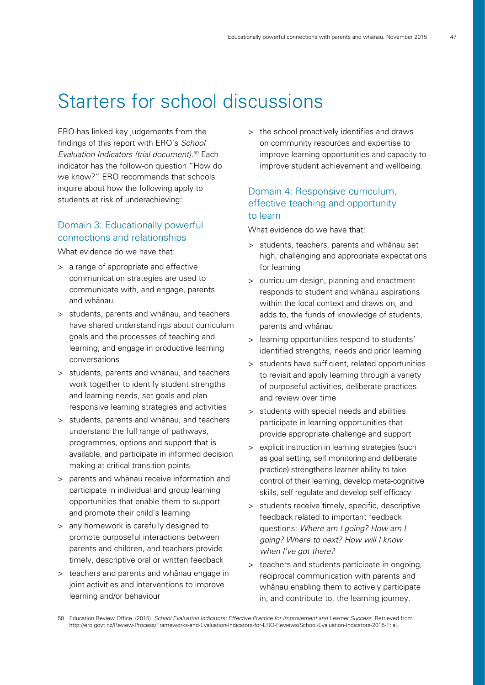## Starters for school discussions

ERO has linked key judgements from the findings of this report with ERO's School Evaluation Indicators (trial document). 50 Each indicator has the follow-on question "How do we know?" ERO recommends that schools inquire about how the following apply to students at risk of underachieving:

#### Domain 3: Educationally powerful connections and relationships

What evidence do we have that:

- > a range of appropriate and effective communication strategies are used to communicate with, and engage, parents and whänau
- > students, parents and whänau, and teachers have shared understandings about curriculum goals and the processes of teaching and learning, and engage in productive learning conversations
- > students, parents and whänau, and teachers work together to identify student strengths and learning needs, set goals and plan responsive learning strategies and activities
- > students, parents and whänau, and teachers understand the full range of pathways, programmes, options and support that is available, and participate in informed decision making at critical transition points
- > parents and whänau receive information and participate in individual and group learning opportunities that enable them to support and promote their child's learning
- > any homework is carefully designed to promote purposeful interactions between parents and children, and teachers provide timely, descriptive oral or written feedback
- > teachers and parents and whänau engage in joint activities and interventions to improve learning and/or behaviour

> the school proactively identifies and draws on community resources and expertise to improve learning opportunities and capacity to improve student achievement and wellbeing.

#### Domain 4: Responsive curriculum, effective teaching and opportunity to learn

What evidence do we have that:

- > students, teachers, parents and whänau set high, challenging and appropriate expectations for learning
- > curriculum design, planning and enactment responds to student and whänau aspirations within the local context and draws on, and adds to, the funds of knowledge of students, parents and whänau
- > learning opportunities respond to students' identified strengths, needs and prior learning
- > students have sufficient, related opportunities to revisit and apply learning through a variety of purposeful activities, deliberate practices and review over time
- > students with special needs and abilities participate in learning opportunities that provide appropriate challenge and support
- > explicit instruction in learning strategies (such as goal setting, self monitoring and deliberate practice) strengthens learner ability to take control of their learning, develop meta-cognitive skills, self regulate and develop self efficacy
- > students receive timely, specific, descriptive feedback related to important feedback questions: Where am I going? How am I going? Where to next? How will I know when I've got there?
- > teachers and students participate in ongoing, reciprocal communication with parents and whänau enabling them to actively participate in, and contribute to, the learning journey.

<sup>50</sup> Education Review Office. (2015). School Evaluation Indicators: Effective Practice for Improvement and Learner Success. Retrieved from http://ero.govt.nz/Review-Process/Frameworks-and-Evaluation-Indicators-for-ERO-Reviews/School-Evaluation-Indicators-2015-Trial.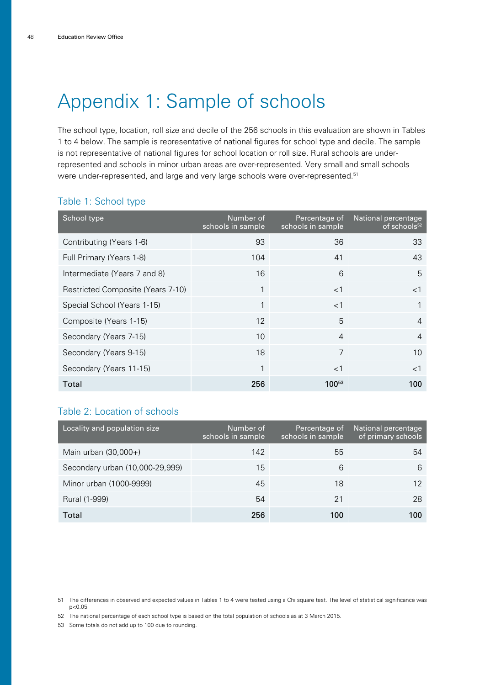## Appendix 1: Sample of schools

The school type, location, roll size and decile of the 256 schools in this evaluation are shown in Tables 1 to 4 below. The sample is representative of national figures for school type and decile. The sample is not representative of national figures for school location or roll size. Rural schools are underrepresented and schools in minor urban areas are over-represented. Very small and small schools were under-represented, and large and very large schools were over-represented.<sup>51</sup>

#### Table 1: School type

| School type                       | Number of<br>schools in sample | Percentage of<br>schools in sample | National percentage<br>of schools <sup>52</sup> |
|-----------------------------------|--------------------------------|------------------------------------|-------------------------------------------------|
| Contributing (Years 1-6)          | 93                             | 36                                 | 33                                              |
| Full Primary (Years 1-8)          | 104                            | 41                                 | 43                                              |
| Intermediate (Years 7 and 8)      | 16                             | 6                                  | 5                                               |
| Restricted Composite (Years 7-10) | 1                              | $<$ 1                              | $<$ 1                                           |
| Special School (Years 1-15)       | 1                              | $<$ 1                              |                                                 |
| Composite (Years 1-15)            | 12                             | 5                                  | $\overline{4}$                                  |
| Secondary (Years 7-15)            | 10                             | $\overline{4}$                     | $\overline{4}$                                  |
| Secondary (Years 9-15)            | 18                             | $\overline{7}$                     | 10                                              |
| Secondary (Years 11-15)           | 1                              | $<$ 1                              | $<$ 1                                           |
| Total                             | 256                            | $100^{53}$                         | 100                                             |

#### Table 2: Location of schools

| Locality and population size    | Number of<br>schools in sample | Percentage of<br>schools in sample | National percentage<br>of primary schools |
|---------------------------------|--------------------------------|------------------------------------|-------------------------------------------|
| Main urban (30,000+)            | 142                            | 55                                 | 54                                        |
| Secondary urban (10,000-29,999) | 15                             | 6                                  | 6                                         |
| Minor urban (1000-9999)         | 45                             | 18                                 | 12                                        |
| Rural (1-999)                   | 54                             | 21                                 | 28                                        |
| Total                           | 256                            | 100                                | 100                                       |

52 The national percentage of each school type is based on the total population of schools as at 3 March 2015.

53 Some totals do not add up to 100 due to rounding.

<sup>51</sup> The differences in observed and expected values in Tables 1 to 4 were tested using a Chi square test. The level of statistical significance was p<0.05.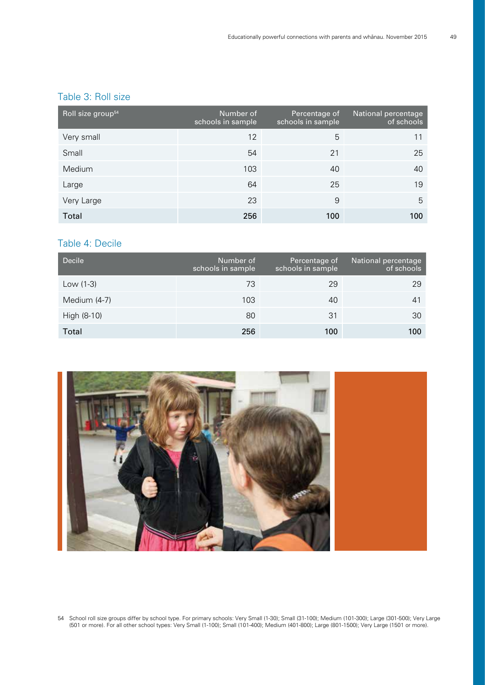### Table 3: Roll size

| Roll size group <sup>54</sup> | Number of<br>schools in sample | Percentage of<br>schools in sample | National percentage<br>of schools |
|-------------------------------|--------------------------------|------------------------------------|-----------------------------------|
| Very small                    | 12                             | 5                                  | 11                                |
| Small                         | 54                             | 21                                 | 25                                |
| Medium                        | 103                            | 40                                 | 40                                |
| Large                         | 64                             | 25                                 | 19                                |
| Very Large                    | 23                             | 9                                  | 5                                 |
| Total                         | 256                            | 100                                | 100                               |

#### Table 4: Decile

| Decile       | Number of<br>schools in sample | Percentage of<br>schools in sample | National percentage<br>of schools |
|--------------|--------------------------------|------------------------------------|-----------------------------------|
| Low $(1-3)$  | 73                             | 29                                 | 29                                |
| Medium (4-7) | 103                            | 40                                 | 41                                |
| High (8-10)  | 80                             | 31                                 | 30                                |
| Total        | 256                            | 100                                | 100                               |



54 School roll size groups differ by school type. For primary schools: Very Small (1-30); Small (31-100); Medium (101-300); Large (301-500); Very Large (501 or more). For all other school types: Very Small (1-100); Small (101-400); Medium (401-800); Large (801-1500); Very Large (1501 or more).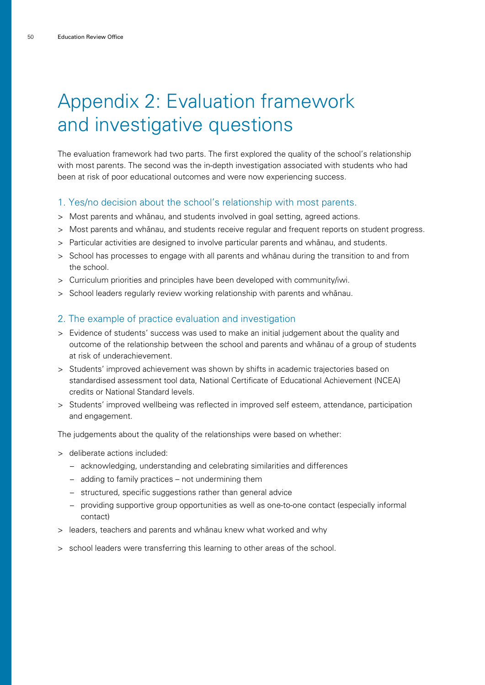## Appendix 2: Evaluation framework and investigative questions

The evaluation framework had two parts. The first explored the quality of the school's relationship with most parents. The second was the in-depth investigation associated with students who had been at risk of poor educational outcomes and were now experiencing success.

#### 1. Yes/no decision about the school's relationship with most parents.

- > Most parents and whänau, and students involved in goal setting, agreed actions.
- > Most parents and whänau, and students receive regular and frequent reports on student progress.
- > Particular activities are designed to involve particular parents and whänau, and students.
- > School has processes to engage with all parents and whänau during the transition to and from the school.
- > Curriculum priorities and principles have been developed with community/iwi.
- > School leaders regularly review working relationship with parents and whänau.

#### 2. The example of practice evaluation and investigation

- > Evidence of students' success was used to make an initial judgement about the quality and outcome of the relationship between the school and parents and whänau of a group of students at risk of underachievement.
- > Students' improved achievement was shown by shifts in academic trajectories based on standardised assessment tool data, National Certificate of Educational Achievement (NCEA) credits or National Standard levels.
- > Students' improved wellbeing was reflected in improved self esteem, attendance, participation and engagement.

The judgements about the quality of the relationships were based on whether:

- > deliberate actions included:
	- − acknowledging, understanding and celebrating similarities and differences
	- − adding to family practices not undermining them
	- − structured, specific suggestions rather than general advice
	- − providing supportive group opportunities as well as one-to-one contact (especially informal contact)
- > leaders, teachers and parents and whänau knew what worked and why
- > school leaders were transferring this learning to other areas of the school.